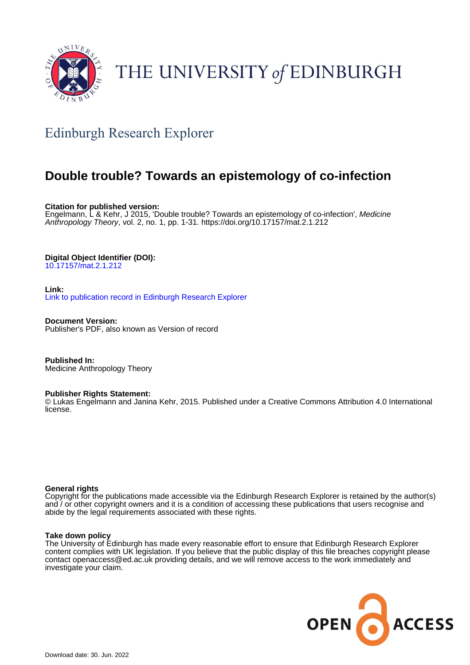

# THE UNIVERSITY of EDINBURGH

# Edinburgh Research Explorer

# **Double trouble? Towards an epistemology of co-infection**

**Citation for published version:** Engelmann, L & Kehr, J 2015, 'Double trouble? Towards an epistemology of co-infection', Medicine Anthropology Theory, vol. 2, no. 1, pp. 1-31. <https://doi.org/10.17157/mat.2.1.212>

### **Digital Object Identifier (DOI):**

[10.17157/mat.2.1.212](https://doi.org/10.17157/mat.2.1.212)

**Link:**

[Link to publication record in Edinburgh Research Explorer](https://www.research.ed.ac.uk/en/publications/ca8167a4-33dd-41ff-80a4-6bb9f1aea583)

**Document Version:** Publisher's PDF, also known as Version of record

**Published In:** Medicine Anthropology Theory

#### **Publisher Rights Statement:**

© Lukas Engelmann and Janina Kehr, 2015. Published under a Creative Commons Attribution 4.0 International license.

#### **General rights**

Copyright for the publications made accessible via the Edinburgh Research Explorer is retained by the author(s) and / or other copyright owners and it is a condition of accessing these publications that users recognise and abide by the legal requirements associated with these rights.

#### **Take down policy**

The University of Edinburgh has made every reasonable effort to ensure that Edinburgh Research Explorer content complies with UK legislation. If you believe that the public display of this file breaches copyright please contact openaccess@ed.ac.uk providing details, and we will remove access to the work immediately and investigate your claim.

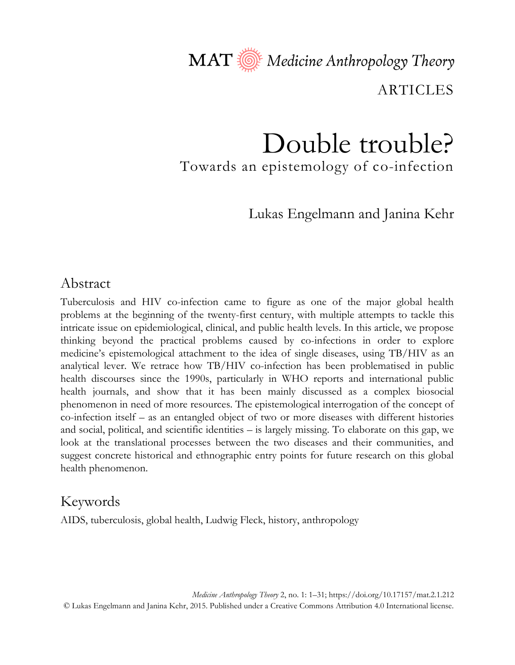MAT Nedicine Anthropology Theory

**ARTICLES** 

# Double trouble? Towards an epistemology of co-infection

Lukas Engelmann and Janina Kehr

## Abstract

Tuberculosis and HIV co-infection came to figure as one of the major global health problems at the beginning of the twenty-first century, with multiple attempts to tackle this intricate issue on epidemiological, clinical, and public health levels. In this article, we propose thinking beyond the practical problems caused by co-infections in order to explore medicine's epistemological attachment to the idea of single diseases, using TB/HIV as an analytical lever. We retrace how TB/HIV co-infection has been problematised in public health discourses since the 1990s, particularly in WHO reports and international public health journals, and show that it has been mainly discussed as a complex biosocial phenomenon in need of more resources. The epistemological interrogation of the concept of co-infection itself – as an entangled object of two or more diseases with different histories and social, political, and scientific identities – is largely missing. To elaborate on this gap, we look at the translational processes between the two diseases and their communities, and suggest concrete historical and ethnographic entry points for future research on this global health phenomenon.

## Keywords

AIDS, tuberculosis, global health, Ludwig Fleck, history, anthropology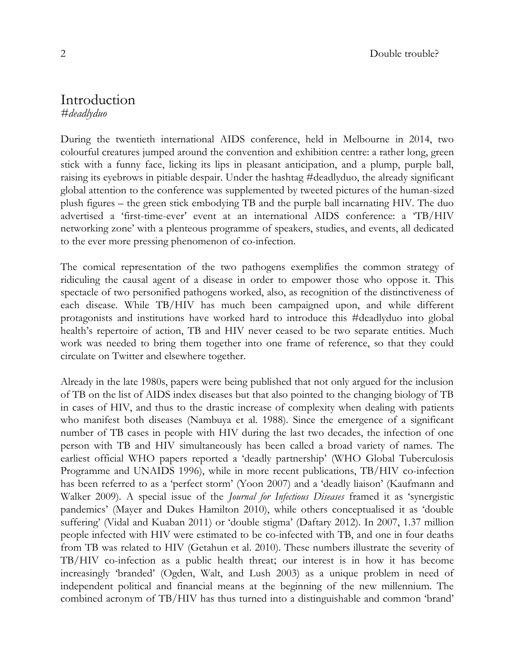## Introduction *#deadlyduo*

During the twentieth international AIDS conference, held in Melbourne in 2014, two colourful creatures jumped around the convention and exhibition centre: a rather long, green stick with a funny face, licking its lips in pleasant anticipation, and a plump, purple ball, raising its eyebrows in pitiable despair. Under the hashtag #deadlyduo, the already significant global attention to the conference was supplemented by tweeted pictures of the human-sized plush figures – the green stick embodying TB and the purple ball incarnating HIV. The duo advertised a 'first-time-ever' event at an international AIDS conference: a 'TB/HIV networking zone' with a plenteous programme of speakers, studies, and events, all dedicated to the ever more pressing phenomenon of co-infection.

The comical representation of the two pathogens exemplifies the common strategy of ridiculing the causal agent of a disease in order to empower those who oppose it. This spectacle of two personified pathogens worked, also, as recognition of the distinctiveness of each disease. While TB/HIV has much been campaigned upon, and while different protagonists and institutions have worked hard to introduce this #deadlyduo into global health's repertoire of action, TB and HIV never ceased to be two separate entities. Much work was needed to bring them together into one frame of reference, so that they could circulate on Twitter and elsewhere together.

Already in the late 1980s, papers were being published that not only argued for the inclusion of TB on the list of AIDS index diseases but that also pointed to the changing biology of TB in cases of HIV, and thus to the drastic increase of complexity when dealing with patients who manifest both diseases (Nambuya et al. 1988). Since the emergence of a significant number of TB cases in people with HIV during the last two decades, the infection of one person with TB and HIV simultaneously has been called a broad variety of names. The earliest official WHO papers reported a 'deadly partnership' (WHO Global Tuberculosis Programme and UNAIDS 1996), while in more recent publications, TB/HIV co-infection has been referred to as a 'perfect storm' (Yoon 2007) and a 'deadly liaison' (Kaufmann and Walker 2009). A special issue of the *Journal for Infectious Diseases* framed it as 'synergistic pandemics' (Mayer and Dukes Hamilton 2010), while others conceptualised it as 'double suffering' (Vidal and Kuaban 2011) or 'double stigma' (Daftary 2012). In 2007, 1.37 million people infected with HIV were estimated to be co-infected with TB, and one in four deaths from TB was related to HIV (Getahun et al. 2010). These numbers illustrate the severity of TB/HIV co-infection as a public health threat; our interest is in how it has become increasingly 'branded' (Ogden, Walt, and Lush 2003) as a unique problem in need of independent political and financial means at the beginning of the new millennium. The combined acronym of TB/HIV has thus turned into a distinguishable and common 'brand'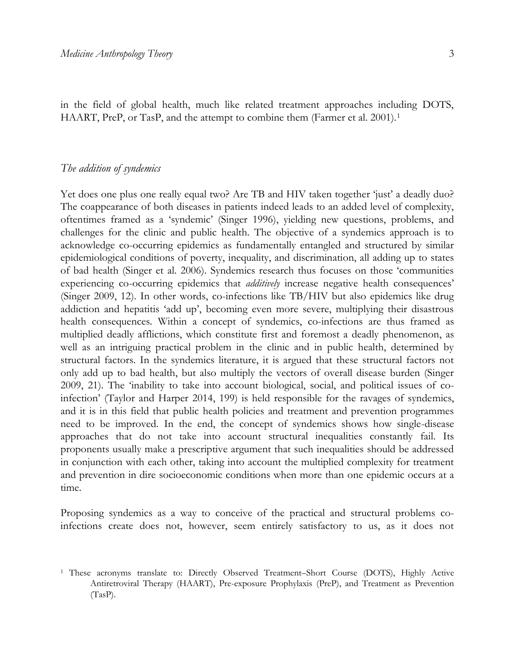in the field of global health, much like related treatment approaches including DOTS, HAART, PreP, or TasP, and the attempt to combine them (Farmer et al. 2001).<sup>1</sup>

#### *The addition of syndemics*

Yet does one plus one really equal two? Are TB and HIV taken together 'just' a deadly duo? The coappearance of both diseases in patients indeed leads to an added level of complexity, oftentimes framed as a 'syndemic' (Singer 1996), yielding new questions, problems, and challenges for the clinic and public health. The objective of a syndemics approach is to acknowledge co-occurring epidemics as fundamentally entangled and structured by similar epidemiological conditions of poverty, inequality, and discrimination, all adding up to states of bad health (Singer et al. 2006). Syndemics research thus focuses on those 'communities experiencing co-occurring epidemics that *additively* increase negative health consequences' (Singer 2009, 12). In other words, co-infections like TB/HIV but also epidemics like drug addiction and hepatitis 'add up', becoming even more severe, multiplying their disastrous health consequences. Within a concept of syndemics, co-infections are thus framed as multiplied deadly afflictions, which constitute first and foremost a deadly phenomenon, as well as an intriguing practical problem in the clinic and in public health, determined by structural factors. In the syndemics literature, it is argued that these structural factors not only add up to bad health, but also multiply the vectors of overall disease burden (Singer 2009, 21). The 'inability to take into account biological, social, and political issues of coinfection' (Taylor and Harper 2014, 199) is held responsible for the ravages of syndemics, and it is in this field that public health policies and treatment and prevention programmes need to be improved. In the end, the concept of syndemics shows how single-disease approaches that do not take into account structural inequalities constantly fail. Its proponents usually make a prescriptive argument that such inequalities should be addressed in conjunction with each other, taking into account the multiplied complexity for treatment and prevention in dire socioeconomic conditions when more than one epidemic occurs at a time.

Proposing syndemics as a way to conceive of the practical and structural problems coinfections create does not, however, seem entirely satisfactory to us, as it does not

<sup>1</sup> These acronyms translate to: Directly Observed Treatment–Short Course (DOTS), Highly Active Antiretroviral Therapy (HAART), Pre-exposure Prophylaxis (PreP), and Treatment as Prevention (TasP).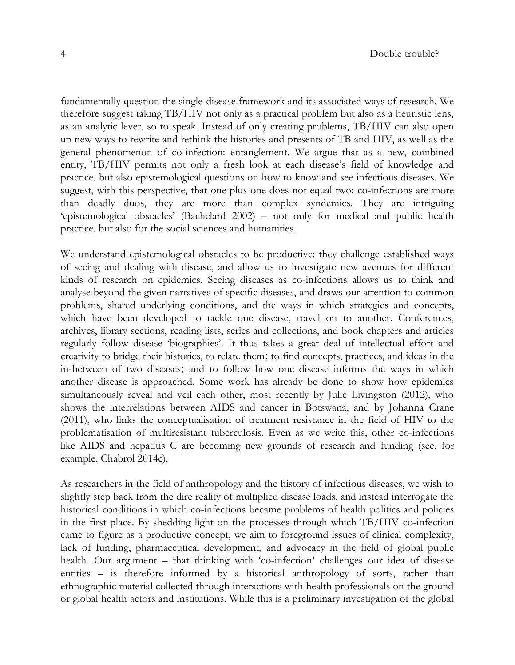fundamentally question the single-disease framework and its associated ways of research. We therefore suggest taking TB/HIV not only as a practical problem but also as a heuristic lens, as an analytic lever, so to speak. Instead of only creating problems, TB/HIV can also open up new ways to rewrite and rethink the histories and presents of TB and HIV, as well as the general phenomenon of co-infection: entanglement. We argue that as a new, combined entity, TB/HIV permits not only a fresh look at each disease's field of knowledge and practice, but also epistemological questions on how to know and see infectious diseases. We suggest, with this perspective, that one plus one does not equal two: co-infections are more than deadly duos, they are more than complex syndemics. They are intriguing 'epistemological obstacles' (Bachelard 2002) – not only for medical and public health practice, but also for the social sciences and humanities.

We understand epistemological obstacles to be productive: they challenge established ways of seeing and dealing with disease, and allow us to investigate new avenues for different kinds of research on epidemics. Seeing diseases as co-infections allows us to think and analyse beyond the given narratives of specific diseases, and draws our attention to common problems, shared underlying conditions, and the ways in which strategies and concepts, which have been developed to tackle one disease, travel on to another. Conferences, archives, library sections, reading lists, series and collections, and book chapters and articles regularly follow disease 'biographies'. It thus takes a great deal of intellectual effort and creativity to bridge their histories, to relate them; to find concepts, practices, and ideas in the in-between of two diseases; and to follow how one disease informs the ways in which another disease is approached. Some work has already be done to show how epidemics simultaneously reveal and veil each other, most recently by Julie Livingston (2012), who shows the interrelations between AIDS and cancer in Botswana, and by Johanna Crane (2011), who links the conceptualisation of treatment resistance in the field of HIV to the problematisation of multiresistant tuberculosis. Even as we write this, other co-infections like AIDS and hepatitis C are becoming new grounds of research and funding (see, for example, Chabrol 2014c).

As researchers in the field of anthropology and the history of infectious diseases, we wish to slightly step back from the dire reality of multiplied disease loads, and instead interrogate the historical conditions in which co-infections became problems of health politics and policies in the first place. By shedding light on the processes through which TB/HIV co-infection came to figure as a productive concept, we aim to foreground issues of clinical complexity, lack of funding, pharmaceutical development, and advocacy in the field of global public health. Our argument – that thinking with 'co-infection' challenges our idea of disease entities – is therefore informed by a historical anthropology of sorts, rather than ethnographic material collected through interactions with health professionals on the ground or global health actors and institutions. While this is a preliminary investigation of the global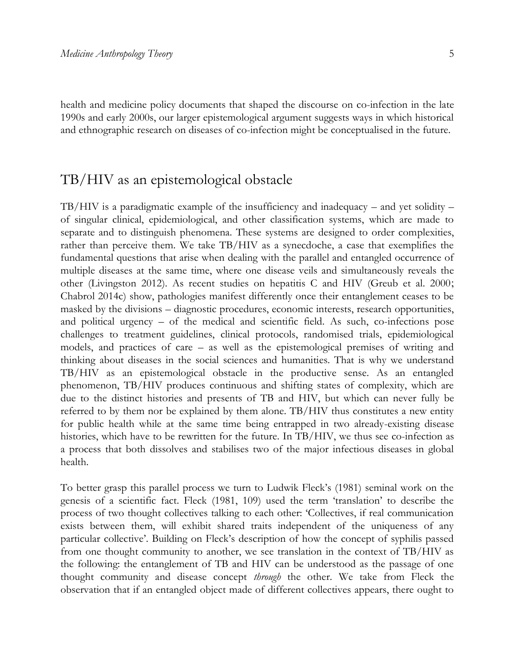health and medicine policy documents that shaped the discourse on co-infection in the late 1990s and early 2000s, our larger epistemological argument suggests ways in which historical and ethnographic research on diseases of co-infection might be conceptualised in the future.

## TB/HIV as an epistemological obstacle

TB/HIV is a paradigmatic example of the insufficiency and inadequacy – and yet solidity – of singular clinical, epidemiological, and other classification systems, which are made to separate and to distinguish phenomena. These systems are designed to order complexities, rather than perceive them. We take TB/HIV as a synecdoche, a case that exemplifies the fundamental questions that arise when dealing with the parallel and entangled occurrence of multiple diseases at the same time, where one disease veils and simultaneously reveals the other (Livingston 2012). As recent studies on hepatitis C and HIV (Greub et al. 2000; Chabrol 2014c) show, pathologies manifest differently once their entanglement ceases to be masked by the divisions – diagnostic procedures, economic interests, research opportunities, and political urgency – of the medical and scientific field. As such, co-infections pose challenges to treatment guidelines, clinical protocols, randomised trials, epidemiological models, and practices of care – as well as the epistemological premises of writing and thinking about diseases in the social sciences and humanities. That is why we understand TB/HIV as an epistemological obstacle in the productive sense. As an entangled phenomenon, TB/HIV produces continuous and shifting states of complexity, which are due to the distinct histories and presents of TB and HIV, but which can never fully be referred to by them nor be explained by them alone. TB/HIV thus constitutes a new entity for public health while at the same time being entrapped in two already-existing disease histories, which have to be rewritten for the future. In TB/HIV, we thus see co-infection as a process that both dissolves and stabilises two of the major infectious diseases in global health.

To better grasp this parallel process we turn to Ludwik Fleck's (1981) seminal work on the genesis of a scientific fact. Fleck (1981, 109) used the term 'translation' to describe the process of two thought collectives talking to each other: 'Collectives, if real communication exists between them, will exhibit shared traits independent of the uniqueness of any particular collective'. Building on Fleck's description of how the concept of syphilis passed from one thought community to another, we see translation in the context of TB/HIV as the following: the entanglement of TB and HIV can be understood as the passage of one thought community and disease concept *through* the other. We take from Fleck the observation that if an entangled object made of different collectives appears, there ought to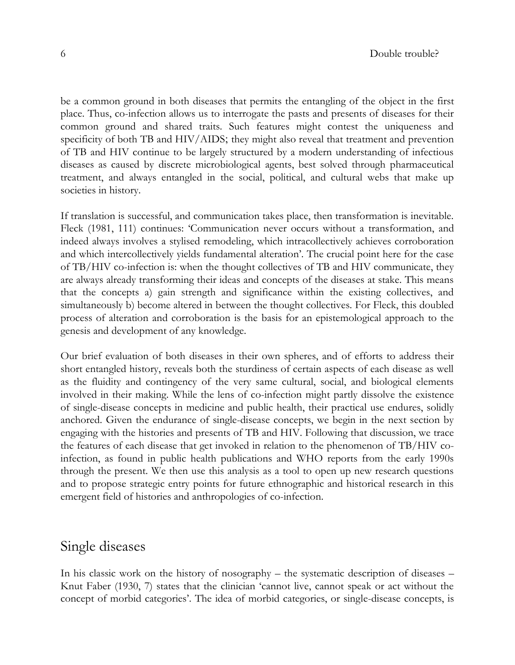be a common ground in both diseases that permits the entangling of the object in the first place. Thus, co-infection allows us to interrogate the pasts and presents of diseases for their common ground and shared traits. Such features might contest the uniqueness and specificity of both TB and HIV/AIDS; they might also reveal that treatment and prevention of TB and HIV continue to be largely structured by a modern understanding of infectious diseases as caused by discrete microbiological agents, best solved through pharmaceutical treatment, and always entangled in the social, political, and cultural webs that make up societies in history.

If translation is successful, and communication takes place, then transformation is inevitable. Fleck (1981, 111) continues: 'Communication never occurs without a transformation, and indeed always involves a stylised remodeling, which intracollectively achieves corroboration and which intercollectively yields fundamental alteration'. The crucial point here for the case of TB/HIV co-infection is: when the thought collectives of TB and HIV communicate, they are always already transforming their ideas and concepts of the diseases at stake. This means that the concepts a) gain strength and significance within the existing collectives, and simultaneously b) become altered in between the thought collectives. For Fleck, this doubled process of alteration and corroboration is the basis for an epistemological approach to the genesis and development of any knowledge.

Our brief evaluation of both diseases in their own spheres, and of efforts to address their short entangled history, reveals both the sturdiness of certain aspects of each disease as well as the fluidity and contingency of the very same cultural, social, and biological elements involved in their making. While the lens of co-infection might partly dissolve the existence of single-disease concepts in medicine and public health, their practical use endures, solidly anchored. Given the endurance of single-disease concepts, we begin in the next section by engaging with the histories and presents of TB and HIV. Following that discussion, we trace the features of each disease that get invoked in relation to the phenomenon of TB/HIV coinfection, as found in public health publications and WHO reports from the early 1990s through the present. We then use this analysis as a tool to open up new research questions and to propose strategic entry points for future ethnographic and historical research in this emergent field of histories and anthropologies of co-infection.

## Single diseases

In his classic work on the history of nosography – the systematic description of diseases – Knut Faber (1930, 7) states that the clinician 'cannot live, cannot speak or act without the concept of morbid categories'. The idea of morbid categories, or single-disease concepts, is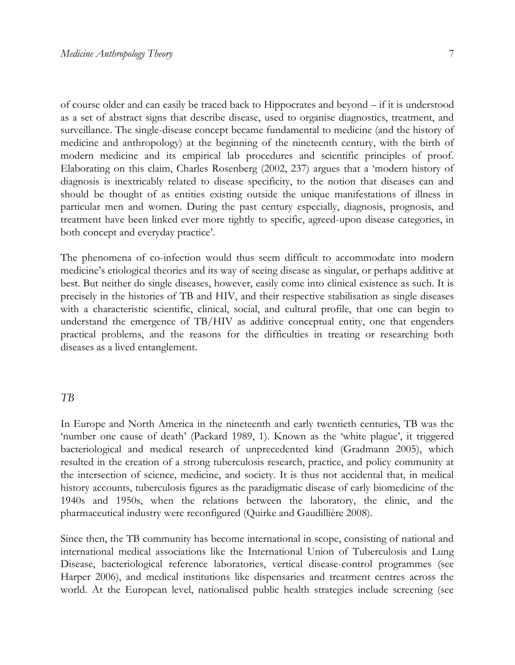of course older and can easily be traced back to Hippocrates and beyond – if it is understood as a set of abstract signs that describe disease, used to organise diagnostics, treatment, and surveillance. The single-disease concept became fundamental to medicine (and the history of medicine and anthropology) at the beginning of the nineteenth century, with the birth of modern medicine and its empirical lab procedures and scientific principles of proof. Elaborating on this claim, Charles Rosenberg (2002, 237) argues that a 'modern history of diagnosis is inextricably related to disease specificity, to the notion that diseases can and should be thought of as entities existing outside the unique manifestations of illness in particular men and women. During the past century especially, diagnosis, prognosis, and treatment have been linked ever more tightly to specific, agreed-upon disease categories, in both concept and everyday practice'.

The phenomena of co-infection would thus seem difficult to accommodate into modern medicine's etiological theories and its way of seeing disease as singular, or perhaps additive at best. But neither do single diseases, however, easily come into clinical existence as such. It is precisely in the histories of TB and HIV, and their respective stabilisation as single diseases with a characteristic scientific, clinical, social, and cultural profile, that one can begin to understand the emergence of TB/HIV as additive conceptual entity, one that engenders practical problems, and the reasons for the difficulties in treating or researching both diseases as a lived entanglement.

#### *TB*

In Europe and North America in the nineteenth and early twentieth centuries, TB was the 'number one cause of death' (Packard 1989, 1). Known as the 'white plague', it triggered bacteriological and medical research of unprecedented kind (Gradmann 2005), which resulted in the creation of a strong tuberculosis research, practice, and policy community at the intersection of science, medicine, and society. It is thus not accidental that, in medical history accounts, tuberculosis figures as the paradigmatic disease of early biomedicine of the 1940s and 1950s, when the relations between the laboratory, the clinic, and the pharmaceutical industry were reconfigured (Quirke and Gaudillière 2008).

Since then, the TB community has become international in scope, consisting of national and international medical associations like the International Union of Tuberculosis and Lung Disease, bacteriological reference laboratories, vertical disease-control programmes (see Harper 2006), and medical institutions like dispensaries and treatment centres across the world. At the European level, nationalised public health strategies include screening (see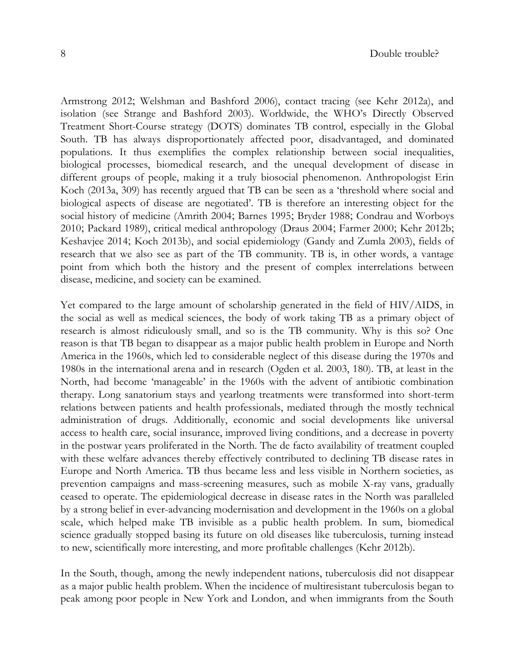Armstrong 2012; Welshman and Bashford 2006), contact tracing (see Kehr 2012a), and isolation (see Strange and Bashford 2003). Worldwide, the WHO's Directly Observed Treatment Short-Course strategy (DOTS) dominates TB control, especially in the Global South. TB has always disproportionately affected poor, disadvantaged, and dominated populations. It thus exemplifies the complex relationship between social inequalities, biological processes, biomedical research, and the unequal development of disease in different groups of people, making it a truly biosocial phenomenon. Anthropologist Erin Koch (2013a, 309) has recently argued that TB can be seen as a 'threshold where social and biological aspects of disease are negotiated'. TB is therefore an interesting object for the social history of medicine (Amrith 2004; Barnes 1995; Bryder 1988; Condrau and Worboys 2010; Packard 1989), critical medical anthropology (Draus 2004; Farmer 2000; Kehr 2012b; Keshavjee 2014; Koch 2013b), and social epidemiology (Gandy and Zumla 2003), fields of research that we also see as part of the TB community. TB is, in other words, a vantage point from which both the history and the present of complex interrelations between disease, medicine, and society can be examined.

Yet compared to the large amount of scholarship generated in the field of HIV/AIDS, in the social as well as medical sciences, the body of work taking TB as a primary object of research is almost ridiculously small, and so is the TB community. Why is this so? One reason is that TB began to disappear as a major public health problem in Europe and North America in the 1960s, which led to considerable neglect of this disease during the 1970s and 1980s in the international arena and in research (Ogden et al. 2003, 180). TB, at least in the North, had become 'manageable' in the 1960s with the advent of antibiotic combination therapy. Long sanatorium stays and yearlong treatments were transformed into short-term relations between patients and health professionals, mediated through the mostly technical administration of drugs. Additionally, economic and social developments like universal access to health care, social insurance, improved living conditions, and a decrease in poverty in the postwar years proliferated in the North. The de facto availability of treatment coupled with these welfare advances thereby effectively contributed to declining TB disease rates in Europe and North America. TB thus became less and less visible in Northern societies, as prevention campaigns and mass-screening measures, such as mobile X-ray vans, gradually ceased to operate. The epidemiological decrease in disease rates in the North was paralleled by a strong belief in ever-advancing modernisation and development in the 1960s on a global scale, which helped make TB invisible as a public health problem. In sum, biomedical science gradually stopped basing its future on old diseases like tuberculosis, turning instead to new, scientifically more interesting, and more profitable challenges (Kehr 2012b).

In the South, though, among the newly independent nations, tuberculosis did not disappear as a major public health problem. When the incidence of multiresistant tuberculosis began to peak among poor people in New York and London, and when immigrants from the South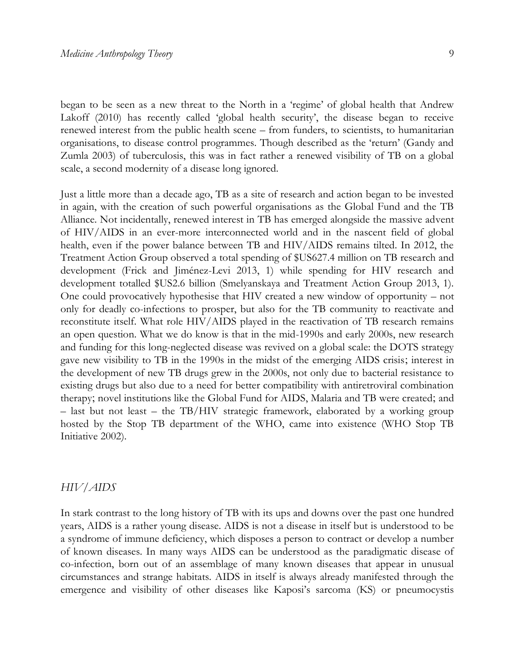began to be seen as a new threat to the North in a 'regime' of global health that Andrew Lakoff (2010) has recently called 'global health security', the disease began to receive renewed interest from the public health scene – from funders, to scientists, to humanitarian organisations, to disease control programmes. Though described as the 'return' (Gandy and Zumla 2003) of tuberculosis, this was in fact rather a renewed visibility of TB on a global scale, a second modernity of a disease long ignored.

Just a little more than a decade ago, TB as a site of research and action began to be invested in again, with the creation of such powerful organisations as the Global Fund and the TB Alliance. Not incidentally, renewed interest in TB has emerged alongside the massive advent of HIV/AIDS in an ever-more interconnected world and in the nascent field of global health, even if the power balance between TB and HIV/AIDS remains tilted. In 2012, the Treatment Action Group observed a total spending of \$US627.4 million on TB research and development (Frick and Jiménez-Levi 2013, 1) while spending for HIV research and development totalled \$US2.6 billion (Smelyanskaya and Treatment Action Group 2013, 1). One could provocatively hypothesise that HIV created a new window of opportunity – not only for deadly co-infections to prosper, but also for the TB community to reactivate and reconstitute itself. What role HIV/AIDS played in the reactivation of TB research remains an open question. What we do know is that in the mid-1990s and early 2000s, new research and funding for this long-neglected disease was revived on a global scale: the DOTS strategy gave new visibility to TB in the 1990s in the midst of the emerging AIDS crisis; interest in the development of new TB drugs grew in the 2000s, not only due to bacterial resistance to existing drugs but also due to a need for better compatibility with antiretroviral combination therapy; novel institutions like the Global Fund for AIDS, Malaria and TB were created; and – last but not least – the TB/HIV strategic framework, elaborated by a working group hosted by the Stop TB department of the WHO, came into existence (WHO Stop TB Initiative 2002).

#### *HIV/AIDS*

In stark contrast to the long history of TB with its ups and downs over the past one hundred years, AIDS is a rather young disease. AIDS is not a disease in itself but is understood to be a syndrome of immune deficiency, which disposes a person to contract or develop a number of known diseases. In many ways AIDS can be understood as the paradigmatic disease of co-infection, born out of an assemblage of many known diseases that appear in unusual circumstances and strange habitats. AIDS in itself is always already manifested through the emergence and visibility of other diseases like Kaposi's sarcoma (KS) or pneumocystis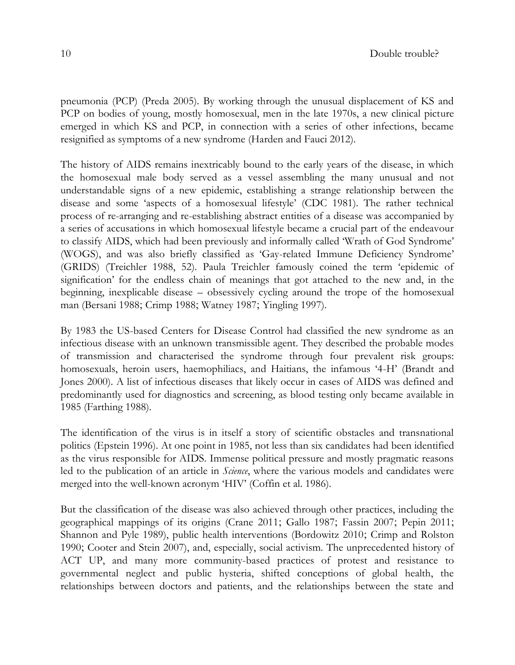pneumonia (PCP) (Preda 2005). By working through the unusual displacement of KS and PCP on bodies of young, mostly homosexual, men in the late 1970s, a new clinical picture emerged in which KS and PCP, in connection with a series of other infections, became resignified as symptoms of a new syndrome (Harden and Fauci 2012).

The history of AIDS remains inextricably bound to the early years of the disease, in which the homosexual male body served as a vessel assembling the many unusual and not understandable signs of a new epidemic, establishing a strange relationship between the disease and some 'aspects of a homosexual lifestyle' (CDC 1981). The rather technical process of re-arranging and re-establishing abstract entities of a disease was accompanied by a series of accusations in which homosexual lifestyle became a crucial part of the endeavour to classify AIDS, which had been previously and informally called 'Wrath of God Syndrome' (WOGS), and was also briefly classified as 'Gay-related Immune Deficiency Syndrome' (GRIDS) (Treichler 1988, 52). Paula Treichler famously coined the term 'epidemic of signification' for the endless chain of meanings that got attached to the new and, in the beginning, inexplicable disease – obsessively cycling around the trope of the homosexual man (Bersani 1988; Crimp 1988; Watney 1987; Yingling 1997).

By 1983 the US-based Centers for Disease Control had classified the new syndrome as an infectious disease with an unknown transmissible agent. They described the probable modes of transmission and characterised the syndrome through four prevalent risk groups: homosexuals, heroin users, haemophiliacs, and Haitians, the infamous '4-H' (Brandt and Jones 2000). A list of infectious diseases that likely occur in cases of AIDS was defined and predominantly used for diagnostics and screening, as blood testing only became available in 1985 (Farthing 1988).

The identification of the virus is in itself a story of scientific obstacles and transnational politics (Epstein 1996). At one point in 1985, not less than six candidates had been identified as the virus responsible for AIDS. Immense political pressure and mostly pragmatic reasons led to the publication of an article in *Science*, where the various models and candidates were merged into the well-known acronym 'HIV' (Coffin et al. 1986).

But the classification of the disease was also achieved through other practices, including the geographical mappings of its origins (Crane 2011; Gallo 1987; Fassin 2007; Pepin 2011; Shannon and Pyle 1989), public health interventions (Bordowitz 2010; Crimp and Rolston 1990; Cooter and Stein 2007), and, especially, social activism. The unprecedented history of ACT UP, and many more community-based practices of protest and resistance to governmental neglect and public hysteria, shifted conceptions of global health, the relationships between doctors and patients, and the relationships between the state and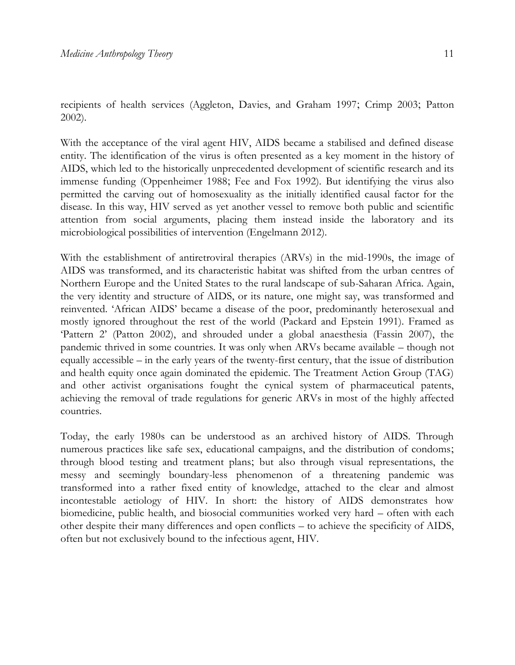recipients of health services (Aggleton, Davies, and Graham 1997; Crimp 2003; Patton 2002).

With the acceptance of the viral agent HIV, AIDS became a stabilised and defined disease entity. The identification of the virus is often presented as a key moment in the history of AIDS, which led to the historically unprecedented development of scientific research and its immense funding (Oppenheimer 1988; Fee and Fox 1992). But identifying the virus also permitted the carving out of homosexuality as the initially identified causal factor for the disease. In this way, HIV served as yet another vessel to remove both public and scientific attention from social arguments, placing them instead inside the laboratory and its microbiological possibilities of intervention (Engelmann 2012).

With the establishment of antiretroviral therapies (ARVs) in the mid-1990s, the image of AIDS was transformed, and its characteristic habitat was shifted from the urban centres of Northern Europe and the United States to the rural landscape of sub-Saharan Africa. Again, the very identity and structure of AIDS, or its nature, one might say, was transformed and reinvented. 'African AIDS' became a disease of the poor, predominantly heterosexual and mostly ignored throughout the rest of the world (Packard and Epstein 1991). Framed as 'Pattern 2' (Patton 2002), and shrouded under a global anaesthesia (Fassin 2007), the pandemic thrived in some countries. It was only when ARVs became available – though not equally accessible – in the early years of the twenty-first century, that the issue of distribution and health equity once again dominated the epidemic. The Treatment Action Group (TAG) and other activist organisations fought the cynical system of pharmaceutical patents, achieving the removal of trade regulations for generic ARVs in most of the highly affected countries.

Today, the early 1980s can be understood as an archived history of AIDS. Through numerous practices like safe sex, educational campaigns, and the distribution of condoms; through blood testing and treatment plans; but also through visual representations, the messy and seemingly boundary-less phenomenon of a threatening pandemic was transformed into a rather fixed entity of knowledge, attached to the clear and almost incontestable aetiology of HIV. In short: the history of AIDS demonstrates how biomedicine, public health, and biosocial communities worked very hard – often with each other despite their many differences and open conflicts – to achieve the specificity of AIDS, often but not exclusively bound to the infectious agent, HIV.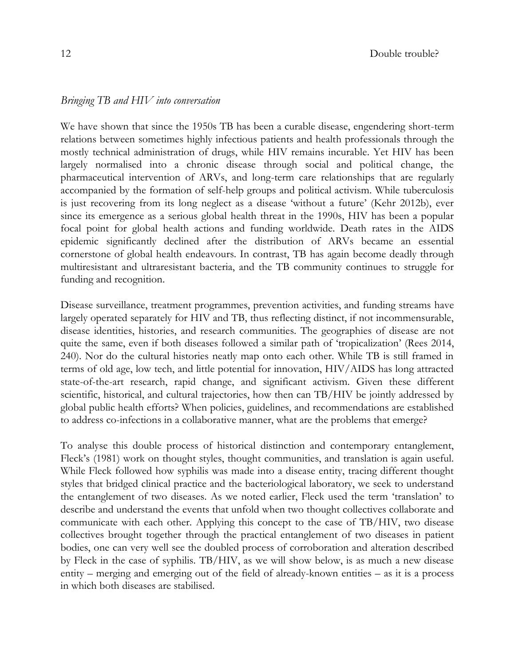#### *Bringing TB and HIV into conversation*

We have shown that since the 1950s TB has been a curable disease, engendering short-term relations between sometimes highly infectious patients and health professionals through the mostly technical administration of drugs, while HIV remains incurable. Yet HIV has been largely normalised into a chronic disease through social and political change, the pharmaceutical intervention of ARVs, and long-term care relationships that are regularly accompanied by the formation of self-help groups and political activism. While tuberculosis is just recovering from its long neglect as a disease 'without a future' (Kehr 2012b), ever since its emergence as a serious global health threat in the 1990s, HIV has been a popular focal point for global health actions and funding worldwide. Death rates in the AIDS epidemic significantly declined after the distribution of ARVs became an essential cornerstone of global health endeavours. In contrast, TB has again become deadly through multiresistant and ultraresistant bacteria, and the TB community continues to struggle for funding and recognition.

Disease surveillance, treatment programmes, prevention activities, and funding streams have largely operated separately for HIV and TB, thus reflecting distinct, if not incommensurable, disease identities, histories, and research communities. The geographies of disease are not quite the same, even if both diseases followed a similar path of 'tropicalization' (Rees 2014, 240). Nor do the cultural histories neatly map onto each other. While TB is still framed in terms of old age, low tech, and little potential for innovation, HIV/AIDS has long attracted state-of-the-art research, rapid change, and significant activism. Given these different scientific, historical, and cultural trajectories, how then can TB/HIV be jointly addressed by global public health efforts? When policies, guidelines, and recommendations are established to address co-infections in a collaborative manner, what are the problems that emerge?

To analyse this double process of historical distinction and contemporary entanglement, Fleck's (1981) work on thought styles, thought communities, and translation is again useful. While Fleck followed how syphilis was made into a disease entity, tracing different thought styles that bridged clinical practice and the bacteriological laboratory, we seek to understand the entanglement of two diseases. As we noted earlier, Fleck used the term 'translation' to describe and understand the events that unfold when two thought collectives collaborate and communicate with each other. Applying this concept to the case of TB/HIV, two disease collectives brought together through the practical entanglement of two diseases in patient bodies, one can very well see the doubled process of corroboration and alteration described by Fleck in the case of syphilis. TB/HIV, as we will show below, is as much a new disease entity – merging and emerging out of the field of already-known entities – as it is a process in which both diseases are stabilised.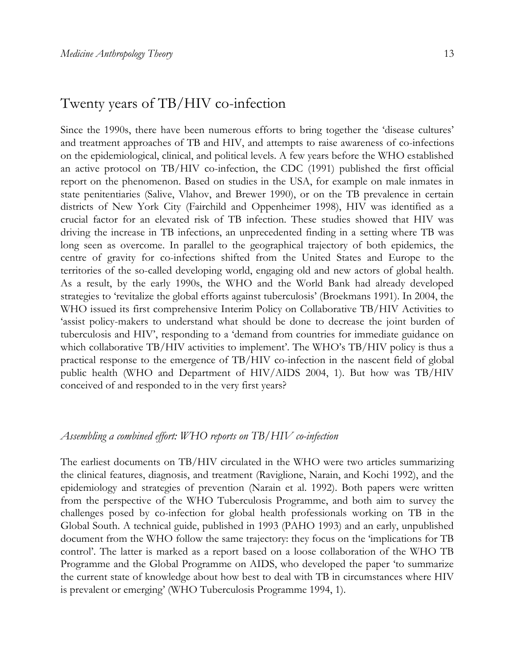## Twenty years of TB/HIV co-infection

Since the 1990s, there have been numerous efforts to bring together the 'disease cultures' and treatment approaches of TB and HIV, and attempts to raise awareness of co-infections on the epidemiological, clinical, and political levels. A few years before the WHO established an active protocol on TB/HIV co-infection, the CDC (1991) published the first official report on the phenomenon. Based on studies in the USA, for example on male inmates in state penitentiaries (Salive, Vlahov, and Brewer 1990), or on the TB prevalence in certain districts of New York City (Fairchild and Oppenheimer 1998), HIV was identified as a crucial factor for an elevated risk of TB infection. These studies showed that HIV was driving the increase in TB infections, an unprecedented finding in a setting where TB was long seen as overcome. In parallel to the geographical trajectory of both epidemics, the centre of gravity for co-infections shifted from the United States and Europe to the territories of the so-called developing world, engaging old and new actors of global health. As a result, by the early 1990s, the WHO and the World Bank had already developed strategies to 'revitalize the global efforts against tuberculosis' (Broekmans 1991). In 2004, the WHO issued its first comprehensive Interim Policy on Collaborative TB/HIV Activities to 'assist policy-makers to understand what should be done to decrease the joint burden of tuberculosis and HIV', responding to a 'demand from countries for immediate guidance on which collaborative TB/HIV activities to implement'. The WHO's TB/HIV policy is thus a practical response to the emergence of TB/HIV co-infection in the nascent field of global public health (WHO and Department of HIV/AIDS 2004, 1). But how was TB/HIV conceived of and responded to in the very first years?

## *Assembling a combined effort: WHO reports on TB/HIV co-infection*

The earliest documents on TB/HIV circulated in the WHO were two articles summarizing the clinical features, diagnosis, and treatment (Raviglione, Narain, and Kochi 1992), and the epidemiology and strategies of prevention (Narain et al. 1992). Both papers were written from the perspective of the WHO Tuberculosis Programme, and both aim to survey the challenges posed by co-infection for global health professionals working on TB in the Global South. A technical guide, published in 1993 (PAHO 1993) and an early, unpublished document from the WHO follow the same trajectory: they focus on the 'implications for TB control'. The latter is marked as a report based on a loose collaboration of the WHO TB Programme and the Global Programme on AIDS, who developed the paper 'to summarize the current state of knowledge about how best to deal with TB in circumstances where HIV is prevalent or emerging' (WHO Tuberculosis Programme 1994, 1).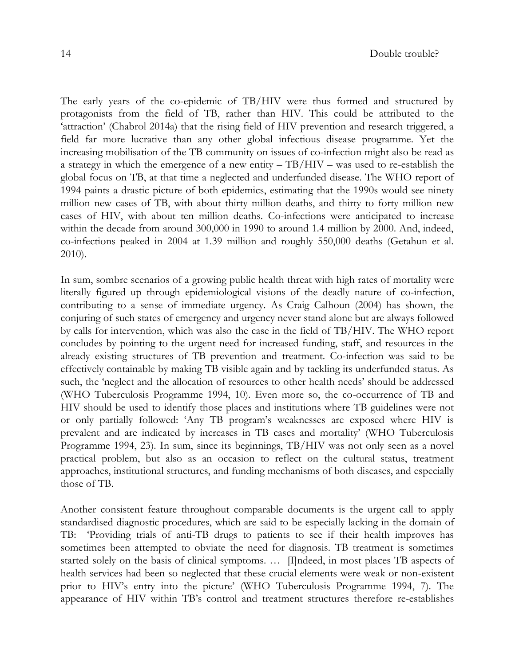The early years of the co-epidemic of TB/HIV were thus formed and structured by protagonists from the field of TB, rather than HIV. This could be attributed to the 'attraction' (Chabrol 2014a) that the rising field of HIV prevention and research triggered, a field far more lucrative than any other global infectious disease programme. Yet the increasing mobilisation of the TB community on issues of co-infection might also be read as a strategy in which the emergence of a new entity  $-$  TB/HIV – was used to re-establish the global focus on TB, at that time a neglected and underfunded disease. The WHO report of 1994 paints a drastic picture of both epidemics, estimating that the 1990s would see ninety million new cases of TB, with about thirty million deaths, and thirty to forty million new cases of HIV, with about ten million deaths. Co-infections were anticipated to increase within the decade from around 300,000 in 1990 to around 1.4 million by 2000. And, indeed, co-infections peaked in 2004 at 1.39 million and roughly 550,000 deaths (Getahun et al. 2010).

In sum, sombre scenarios of a growing public health threat with high rates of mortality were literally figured up through epidemiological visions of the deadly nature of co-infection, contributing to a sense of immediate urgency. As Craig Calhoun (2004) has shown, the conjuring of such states of emergency and urgency never stand alone but are always followed by calls for intervention, which was also the case in the field of TB/HIV. The WHO report concludes by pointing to the urgent need for increased funding, staff, and resources in the already existing structures of TB prevention and treatment. Co-infection was said to be effectively containable by making TB visible again and by tackling its underfunded status. As such, the 'neglect and the allocation of resources to other health needs' should be addressed (WHO Tuberculosis Programme 1994, 10). Even more so, the co-occurrence of TB and HIV should be used to identify those places and institutions where TB guidelines were not or only partially followed: 'Any TB program's weaknesses are exposed where HIV is prevalent and are indicated by increases in TB cases and mortality' (WHO Tuberculosis Programme 1994, 23). In sum, since its beginnings, TB/HIV was not only seen as a novel practical problem, but also as an occasion to reflect on the cultural status, treatment approaches, institutional structures, and funding mechanisms of both diseases, and especially those of TB.

Another consistent feature throughout comparable documents is the urgent call to apply standardised diagnostic procedures, which are said to be especially lacking in the domain of TB: 'Providing trials of anti-TB drugs to patients to see if their health improves has sometimes been attempted to obviate the need for diagnosis. TB treatment is sometimes started solely on the basis of clinical symptoms. … [I]ndeed, in most places TB aspects of health services had been so neglected that these crucial elements were weak or non-existent prior to HIV's entry into the picture' (WHO Tuberculosis Programme 1994, 7). The appearance of HIV within TB's control and treatment structures therefore re-establishes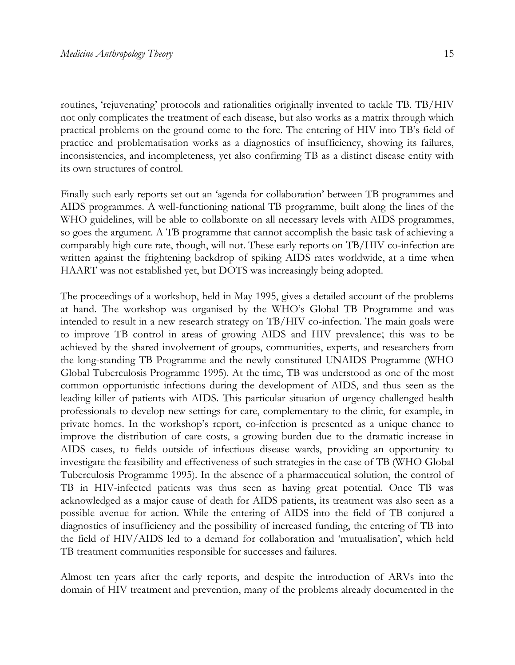routines, 'rejuvenating' protocols and rationalities originally invented to tackle TB. TB/HIV not only complicates the treatment of each disease, but also works as a matrix through which practical problems on the ground come to the fore. The entering of HIV into TB's field of practice and problematisation works as a diagnostics of insufficiency, showing its failures, inconsistencies, and incompleteness, yet also confirming TB as a distinct disease entity with its own structures of control.

Finally such early reports set out an 'agenda for collaboration' between TB programmes and AIDS programmes. A well-functioning national TB programme, built along the lines of the WHO guidelines, will be able to collaborate on all necessary levels with AIDS programmes, so goes the argument. A TB programme that cannot accomplish the basic task of achieving a comparably high cure rate, though, will not. These early reports on TB/HIV co-infection are written against the frightening backdrop of spiking AIDS rates worldwide, at a time when HAART was not established yet, but DOTS was increasingly being adopted.

The proceedings of a workshop, held in May 1995, gives a detailed account of the problems at hand. The workshop was organised by the WHO's Global TB Programme and was intended to result in a new research strategy on TB/HIV co-infection. The main goals were to improve TB control in areas of growing AIDS and HIV prevalence; this was to be achieved by the shared involvement of groups, communities, experts, and researchers from the long-standing TB Programme and the newly constituted UNAIDS Programme (WHO Global Tuberculosis Programme 1995). At the time, TB was understood as one of the most common opportunistic infections during the development of AIDS, and thus seen as the leading killer of patients with AIDS. This particular situation of urgency challenged health professionals to develop new settings for care, complementary to the clinic, for example, in private homes. In the workshop's report, co-infection is presented as a unique chance to improve the distribution of care costs, a growing burden due to the dramatic increase in AIDS cases, to fields outside of infectious disease wards, providing an opportunity to investigate the feasibility and effectiveness of such strategies in the case of TB (WHO Global Tuberculosis Programme 1995). In the absence of a pharmaceutical solution, the control of TB in HIV-infected patients was thus seen as having great potential. Once TB was acknowledged as a major cause of death for AIDS patients, its treatment was also seen as a possible avenue for action. While the entering of AIDS into the field of TB conjured a diagnostics of insufficiency and the possibility of increased funding, the entering of TB into the field of HIV/AIDS led to a demand for collaboration and 'mutualisation', which held TB treatment communities responsible for successes and failures.

Almost ten years after the early reports, and despite the introduction of ARVs into the domain of HIV treatment and prevention, many of the problems already documented in the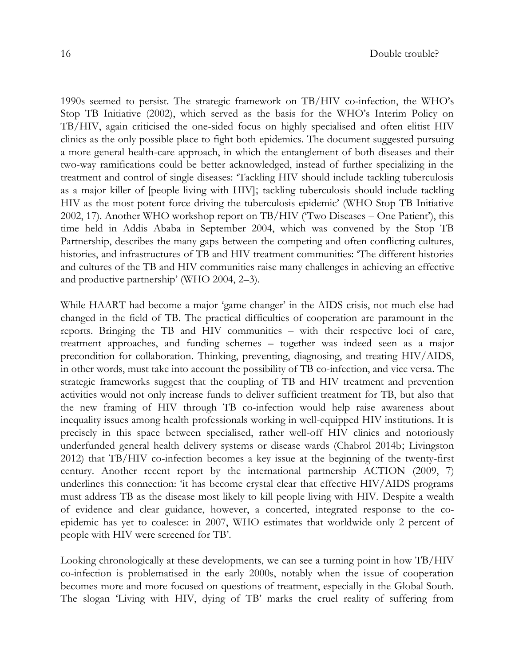1990s seemed to persist. The strategic framework on TB/HIV co-infection, the WHO's Stop TB Initiative (2002), which served as the basis for the WHO's Interim Policy on TB/HIV, again criticised the one-sided focus on highly specialised and often elitist HIV clinics as the only possible place to fight both epidemics. The document suggested pursuing a more general health-care approach, in which the entanglement of both diseases and their two-way ramifications could be better acknowledged, instead of further specializing in the treatment and control of single diseases: 'Tackling HIV should include tackling tuberculosis as a major killer of [people living with HIV]; tackling tuberculosis should include tackling HIV as the most potent force driving the tuberculosis epidemic' (WHO Stop TB Initiative 2002, 17). Another WHO workshop report on TB/HIV ('Two Diseases – One Patient'), this time held in Addis Ababa in September 2004, which was convened by the Stop TB Partnership, describes the many gaps between the competing and often conflicting cultures, histories, and infrastructures of TB and HIV treatment communities: 'The different histories and cultures of the TB and HIV communities raise many challenges in achieving an effective and productive partnership' (WHO 2004, 2–3).

While HAART had become a major 'game changer' in the AIDS crisis, not much else had changed in the field of TB. The practical difficulties of cooperation are paramount in the reports. Bringing the TB and HIV communities – with their respective loci of care, treatment approaches, and funding schemes – together was indeed seen as a major precondition for collaboration. Thinking, preventing, diagnosing, and treating HIV/AIDS, in other words, must take into account the possibility of TB co-infection, and vice versa. The strategic frameworks suggest that the coupling of TB and HIV treatment and prevention activities would not only increase funds to deliver sufficient treatment for TB, but also that the new framing of HIV through TB co-infection would help raise awareness about inequality issues among health professionals working in well-equipped HIV institutions. It is precisely in this space between specialised, rather well-off HIV clinics and notoriously underfunded general health delivery systems or disease wards (Chabrol 2014b; Livingston 2012) that TB/HIV co-infection becomes a key issue at the beginning of the twenty-first century. Another recent report by the international partnership ACTION (2009, 7) underlines this connection: 'it has become crystal clear that effective HIV/AIDS programs must address TB as the disease most likely to kill people living with HIV. Despite a wealth of evidence and clear guidance, however, a concerted, integrated response to the coepidemic has yet to coalesce: in 2007, WHO estimates that worldwide only 2 percent of people with HIV were screened for TB'.

Looking chronologically at these developments, we can see a turning point in how TB/HIV co-infection is problematised in the early 2000s, notably when the issue of cooperation becomes more and more focused on questions of treatment, especially in the Global South. The slogan 'Living with HIV, dying of TB' marks the cruel reality of suffering from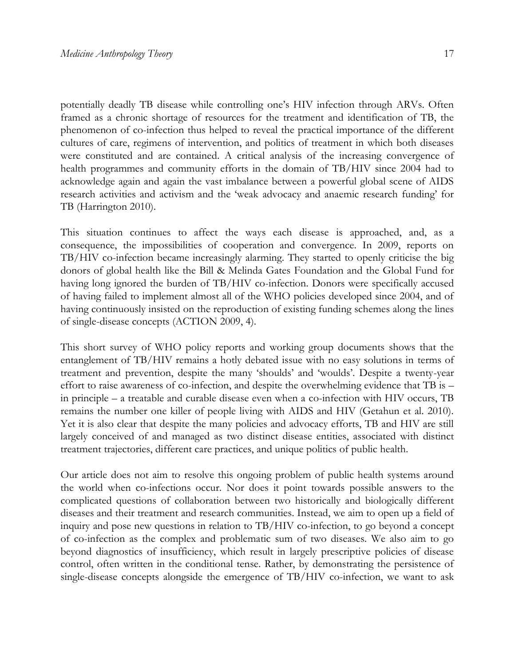potentially deadly TB disease while controlling one's HIV infection through ARVs. Often framed as a chronic shortage of resources for the treatment and identification of TB, the phenomenon of co-infection thus helped to reveal the practical importance of the different cultures of care, regimens of intervention, and politics of treatment in which both diseases were constituted and are contained. A critical analysis of the increasing convergence of health programmes and community efforts in the domain of TB/HIV since 2004 had to acknowledge again and again the vast imbalance between a powerful global scene of AIDS research activities and activism and the 'weak advocacy and anaemic research funding' for TB (Harrington 2010).

This situation continues to affect the ways each disease is approached, and, as a consequence, the impossibilities of cooperation and convergence. In 2009, reports on TB/HIV co-infection became increasingly alarming. They started to openly criticise the big donors of global health like the Bill & Melinda Gates Foundation and the Global Fund for having long ignored the burden of TB/HIV co-infection. Donors were specifically accused of having failed to implement almost all of the WHO policies developed since 2004, and of having continuously insisted on the reproduction of existing funding schemes along the lines of single-disease concepts (ACTION 2009, 4).

This short survey of WHO policy reports and working group documents shows that the entanglement of TB/HIV remains a hotly debated issue with no easy solutions in terms of treatment and prevention, despite the many 'shoulds' and 'woulds'. Despite a twenty-year effort to raise awareness of co-infection, and despite the overwhelming evidence that TB is – in principle – a treatable and curable disease even when a co-infection with HIV occurs, TB remains the number one killer of people living with AIDS and HIV (Getahun et al. 2010). Yet it is also clear that despite the many policies and advocacy efforts, TB and HIV are still largely conceived of and managed as two distinct disease entities, associated with distinct treatment trajectories, different care practices, and unique politics of public health.

Our article does not aim to resolve this ongoing problem of public health systems around the world when co-infections occur. Nor does it point towards possible answers to the complicated questions of collaboration between two historically and biologically different diseases and their treatment and research communities. Instead, we aim to open up a field of inquiry and pose new questions in relation to TB/HIV co-infection, to go beyond a concept of co-infection as the complex and problematic sum of two diseases. We also aim to go beyond diagnostics of insufficiency, which result in largely prescriptive policies of disease control, often written in the conditional tense. Rather, by demonstrating the persistence of single-disease concepts alongside the emergence of TB/HIV co-infection, we want to ask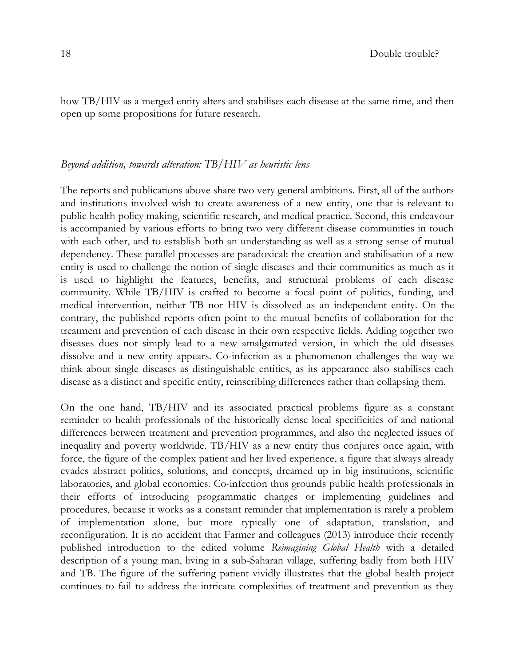how TB/HIV as a merged entity alters and stabilises each disease at the same time, and then open up some propositions for future research.

## *Beyond addition, towards alteration: TB/HIV as heuristic lens*

The reports and publications above share two very general ambitions. First, all of the authors and institutions involved wish to create awareness of a new entity, one that is relevant to public health policy making, scientific research, and medical practice. Second, this endeavour is accompanied by various efforts to bring two very different disease communities in touch with each other, and to establish both an understanding as well as a strong sense of mutual dependency. These parallel processes are paradoxical: the creation and stabilisation of a new entity is used to challenge the notion of single diseases and their communities as much as it is used to highlight the features, benefits, and structural problems of each disease community. While TB/HIV is crafted to become a focal point of politics, funding, and medical intervention, neither TB nor HIV is dissolved as an independent entity. On the contrary, the published reports often point to the mutual benefits of collaboration for the treatment and prevention of each disease in their own respective fields. Adding together two diseases does not simply lead to a new amalgamated version, in which the old diseases dissolve and a new entity appears. Co-infection as a phenomenon challenges the way we think about single diseases as distinguishable entities, as its appearance also stabilises each disease as a distinct and specific entity, reinscribing differences rather than collapsing them.

On the one hand, TB/HIV and its associated practical problems figure as a constant reminder to health professionals of the historically dense local specificities of and national differences between treatment and prevention programmes, and also the neglected issues of inequality and poverty worldwide. TB/HIV as a new entity thus conjures once again, with force, the figure of the complex patient and her lived experience, a figure that always already evades abstract politics, solutions, and concepts, dreamed up in big institutions, scientific laboratories, and global economies. Co-infection thus grounds public health professionals in their efforts of introducing programmatic changes or implementing guidelines and procedures, because it works as a constant reminder that implementation is rarely a problem of implementation alone, but more typically one of adaptation, translation, and reconfiguration. It is no accident that Farmer and colleagues (2013) introduce their recently published introduction to the edited volume *Reimagining Global Health* with a detailed description of a young man, living in a sub-Saharan village, suffering badly from both HIV and TB. The figure of the suffering patient vividly illustrates that the global health project continues to fail to address the intricate complexities of treatment and prevention as they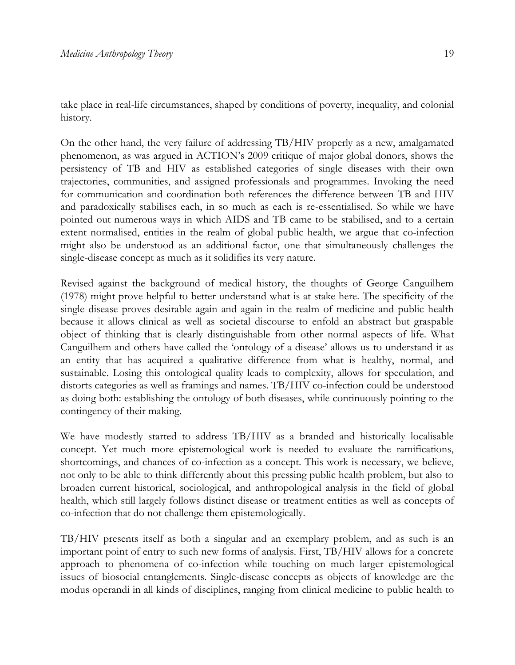take place in real-life circumstances, shaped by conditions of poverty, inequality, and colonial history.

On the other hand, the very failure of addressing TB/HIV properly as a new, amalgamated phenomenon, as was argued in ACTION's 2009 critique of major global donors, shows the persistency of TB and HIV as established categories of single diseases with their own trajectories, communities, and assigned professionals and programmes. Invoking the need for communication and coordination both references the difference between TB and HIV and paradoxically stabilises each, in so much as each is re-essentialised. So while we have pointed out numerous ways in which AIDS and TB came to be stabilised, and to a certain extent normalised, entities in the realm of global public health, we argue that co-infection might also be understood as an additional factor, one that simultaneously challenges the single-disease concept as much as it solidifies its very nature.

Revised against the background of medical history, the thoughts of George Canguilhem (1978) might prove helpful to better understand what is at stake here. The specificity of the single disease proves desirable again and again in the realm of medicine and public health because it allows clinical as well as societal discourse to enfold an abstract but graspable object of thinking that is clearly distinguishable from other normal aspects of life. What Canguilhem and others have called the 'ontology of a disease' allows us to understand it as an entity that has acquired a qualitative difference from what is healthy, normal, and sustainable. Losing this ontological quality leads to complexity, allows for speculation, and distorts categories as well as framings and names. TB/HIV co-infection could be understood as doing both: establishing the ontology of both diseases, while continuously pointing to the contingency of their making.

We have modestly started to address TB/HIV as a branded and historically localisable concept. Yet much more epistemological work is needed to evaluate the ramifications, shortcomings, and chances of co-infection as a concept. This work is necessary, we believe, not only to be able to think differently about this pressing public health problem, but also to broaden current historical, sociological, and anthropological analysis in the field of global health, which still largely follows distinct disease or treatment entities as well as concepts of co-infection that do not challenge them epistemologically.

TB/HIV presents itself as both a singular and an exemplary problem, and as such is an important point of entry to such new forms of analysis. First, TB/HIV allows for a concrete approach to phenomena of co-infection while touching on much larger epistemological issues of biosocial entanglements. Single-disease concepts as objects of knowledge are the modus operandi in all kinds of disciplines, ranging from clinical medicine to public health to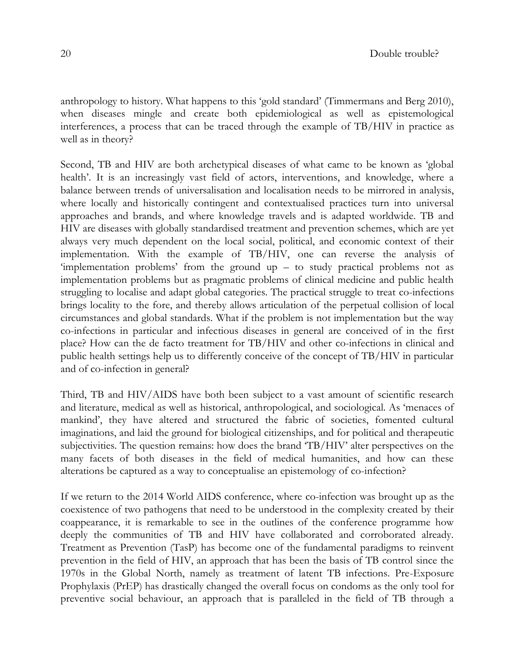anthropology to history. What happens to this 'gold standard' (Timmermans and Berg 2010), when diseases mingle and create both epidemiological as well as epistemological interferences, a process that can be traced through the example of TB/HIV in practice as well as in theory?

Second, TB and HIV are both archetypical diseases of what came to be known as 'global health'. It is an increasingly vast field of actors, interventions, and knowledge, where a balance between trends of universalisation and localisation needs to be mirrored in analysis, where locally and historically contingent and contextualised practices turn into universal approaches and brands, and where knowledge travels and is adapted worldwide. TB and HIV are diseases with globally standardised treatment and prevention schemes, which are yet always very much dependent on the local social, political, and economic context of their implementation. With the example of TB/HIV, one can reverse the analysis of 'implementation problems' from the ground up – to study practical problems not as implementation problems but as pragmatic problems of clinical medicine and public health struggling to localise and adapt global categories. The practical struggle to treat co-infections brings locality to the fore, and thereby allows articulation of the perpetual collision of local circumstances and global standards. What if the problem is not implementation but the way co-infections in particular and infectious diseases in general are conceived of in the first place? How can the de facto treatment for TB/HIV and other co-infections in clinical and public health settings help us to differently conceive of the concept of TB/HIV in particular and of co-infection in general?

Third, TB and HIV/AIDS have both been subject to a vast amount of scientific research and literature, medical as well as historical, anthropological, and sociological. As 'menaces of mankind', they have altered and structured the fabric of societies, fomented cultural imaginations, and laid the ground for biological citizenships, and for political and therapeutic subjectivities. The question remains: how does the brand 'TB/HIV' alter perspectives on the many facets of both diseases in the field of medical humanities, and how can these alterations be captured as a way to conceptualise an epistemology of co-infection?

If we return to the 2014 World AIDS conference, where co-infection was brought up as the coexistence of two pathogens that need to be understood in the complexity created by their coappearance, it is remarkable to see in the outlines of the conference programme how deeply the communities of TB and HIV have collaborated and corroborated already. Treatment as Prevention (TasP) has become one of the fundamental paradigms to reinvent prevention in the field of HIV, an approach that has been the basis of TB control since the 1970s in the Global North, namely as treatment of latent TB infections. Pre-Exposure Prophylaxis (PrEP) has drastically changed the overall focus on condoms as the only tool for preventive social behaviour, an approach that is paralleled in the field of TB through a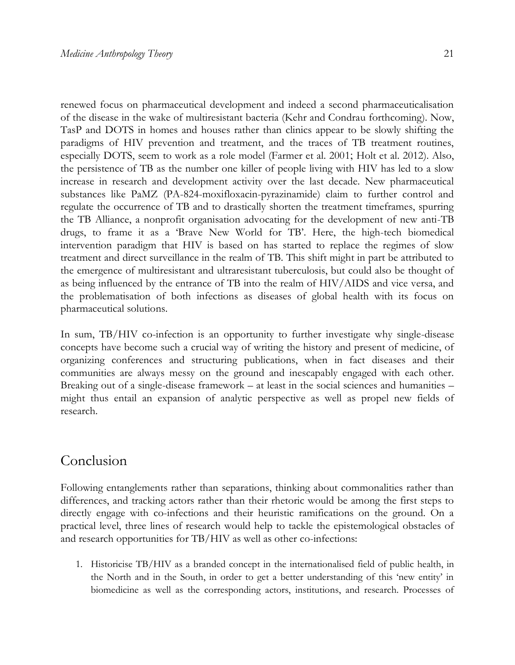renewed focus on pharmaceutical development and indeed a second pharmaceuticalisation of the disease in the wake of multiresistant bacteria (Kehr and Condrau forthcoming). Now, TasP and DOTS in homes and houses rather than clinics appear to be slowly shifting the paradigms of HIV prevention and treatment, and the traces of TB treatment routines, especially DOTS, seem to work as a role model (Farmer et al. 2001; Holt et al. 2012). Also, the persistence of TB as the number one killer of people living with HIV has led to a slow increase in research and development activity over the last decade. New pharmaceutical substances like PaMZ (PA-824-moxifloxacin-pyrazinamide) claim to further control and regulate the occurrence of TB and to drastically shorten the treatment timeframes, spurring the TB Alliance, a nonprofit organisation advocating for the development of new anti-TB drugs, to frame it as a 'Brave New World for TB'. Here, the high-tech biomedical intervention paradigm that HIV is based on has started to replace the regimes of slow

treatment and direct surveillance in the realm of TB. This shift might in part be attributed to the emergence of multiresistant and ultraresistant tuberculosis, but could also be thought of as being influenced by the entrance of TB into the realm of HIV/AIDS and vice versa, and the problematisation of both infections as diseases of global health with its focus on pharmaceutical solutions.

In sum, TB/HIV co-infection is an opportunity to further investigate why single-disease concepts have become such a crucial way of writing the history and present of medicine, of organizing conferences and structuring publications, when in fact diseases and their communities are always messy on the ground and inescapably engaged with each other. Breaking out of a single-disease framework – at least in the social sciences and humanities – might thus entail an expansion of analytic perspective as well as propel new fields of research.

## Conclusion

Following entanglements rather than separations, thinking about commonalities rather than differences, and tracking actors rather than their rhetoric would be among the first steps to directly engage with co-infections and their heuristic ramifications on the ground. On a practical level, three lines of research would help to tackle the epistemological obstacles of and research opportunities for TB/HIV as well as other co-infections:

1. Historicise TB/HIV as a branded concept in the internationalised field of public health, in the North and in the South, in order to get a better understanding of this 'new entity' in biomedicine as well as the corresponding actors, institutions, and research. Processes of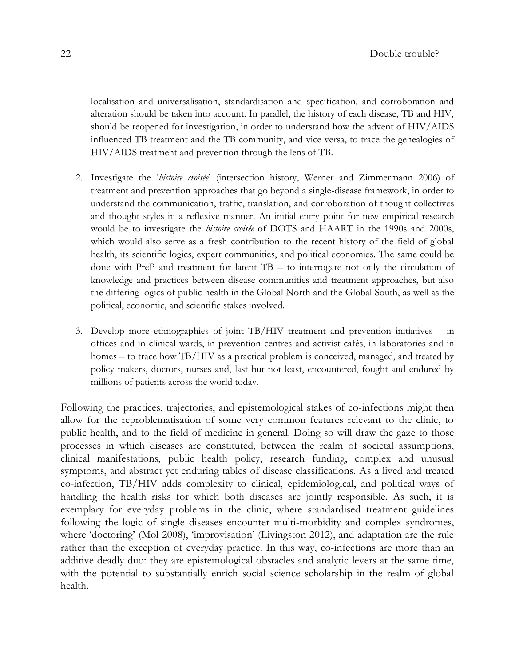localisation and universalisation, standardisation and specification, and corroboration and alteration should be taken into account. In parallel, the history of each disease, TB and HIV, should be reopened for investigation, in order to understand how the advent of HIV/AIDS influenced TB treatment and the TB community, and vice versa, to trace the genealogies of HIV/AIDS treatment and prevention through the lens of TB.

- 2. Investigate the '*histoire croisée*' (intersection history, Werner and Zimmermann 2006) of treatment and prevention approaches that go beyond a single-disease framework, in order to understand the communication, traffic, translation, and corroboration of thought collectives and thought styles in a reflexive manner. An initial entry point for new empirical research would be to investigate the *histoire croisée* of DOTS and HAART in the 1990s and 2000s, which would also serve as a fresh contribution to the recent history of the field of global health, its scientific logics, expert communities, and political economies. The same could be done with PreP and treatment for latent TB – to interrogate not only the circulation of knowledge and practices between disease communities and treatment approaches, but also the differing logics of public health in the Global North and the Global South, as well as the political, economic, and scientific stakes involved.
- 3. Develop more ethnographies of joint TB/HIV treatment and prevention initiatives in offices and in clinical wards, in prevention centres and activist cafés, in laboratories and in homes – to trace how TB/HIV as a practical problem is conceived, managed, and treated by policy makers, doctors, nurses and, last but not least, encountered, fought and endured by millions of patients across the world today.

Following the practices, trajectories, and epistemological stakes of co-infections might then allow for the reproblematisation of some very common features relevant to the clinic, to public health, and to the field of medicine in general. Doing so will draw the gaze to those processes in which diseases are constituted, between the realm of societal assumptions, clinical manifestations, public health policy, research funding, complex and unusual symptoms, and abstract yet enduring tables of disease classifications. As a lived and treated co-infection, TB/HIV adds complexity to clinical, epidemiological, and political ways of handling the health risks for which both diseases are jointly responsible. As such, it is exemplary for everyday problems in the clinic, where standardised treatment guidelines following the logic of single diseases encounter multi-morbidity and complex syndromes, where 'doctoring' (Mol 2008), 'improvisation' (Livingston 2012), and adaptation are the rule rather than the exception of everyday practice. In this way, co-infections are more than an additive deadly duo: they are epistemological obstacles and analytic levers at the same time, with the potential to substantially enrich social science scholarship in the realm of global health.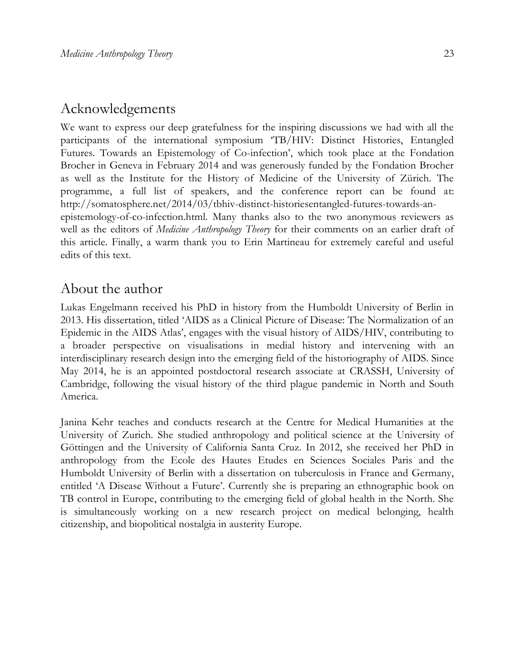## Acknowledgements

We want to express our deep gratefulness for the inspiring discussions we had with all the participants of the international symposium 'TB/HIV: Distinct Histories, Entangled Futures. Towards an Epistemology of Co-infection', which took place at the Fondation Brocher in Geneva in February 2014 and was generously funded by the Fondation Brocher as well as the Institute for the History of Medicine of the University of Zürich. The programme, a full list of speakers, and the conference report can be found at: [http://somatosphere.net/2014/03/tbhiv-distinct-historiesentangled-futures-towards-an](http://somatosphere.net/2014/03/tbhiv-distinct-histories-entangled-futures-towards-an-epistemology-of-co-infection.html)[epistemology-of-co-infection.html.](http://somatosphere.net/2014/03/tbhiv-distinct-histories-entangled-futures-towards-an-epistemology-of-co-infection.html) Many thanks also to the two anonymous reviewers as well as the editors of *Medicine Anthropology Theory* for their comments on an earlier draft of this article. Finally, a warm thank you to Erin Martineau for extremely careful and useful edits of this text.

## About the author

Lukas Engelmann received his PhD in history from the Humboldt University of Berlin in 2013. His dissertation, titled 'AIDS as a Clinical Picture of Disease: The Normalization of an Epidemic in the AIDS Atlas', engages with the visual history of AIDS/HIV, contributing to a broader perspective on visualisations in medial history and intervening with an interdisciplinary research design into the emerging field of the historiography of AIDS. Since May 2014, he is an appointed postdoctoral research associate at CRASSH, University of Cambridge, following the visual history of the third plague pandemic in North and South America.

Janina Kehr teaches and conducts research at the Centre for Medical Humanities at the University of Zurich. She studied anthropology and political science at the University of Göttingen and the University of California Santa Cruz. In 2012, she received her PhD in anthropology from the Ecole des Hautes Etudes en Sciences Sociales Paris and the Humboldt University of Berlin with a dissertation on tuberculosis in France and Germany, entitled 'A Disease Without a Future'. Currently she is preparing an ethnographic book on TB control in Europe, contributing to the emerging field of global health in the North. She is simultaneously working on a new research project on medical belonging, health citizenship, and biopolitical nostalgia in austerity Europe.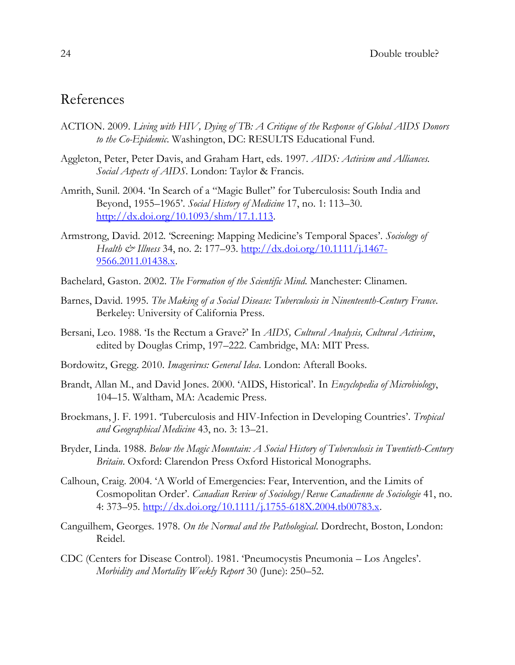# References

- ACTION. 2009. *Living with HIV, Dying of TB: A Critique of the Response of Global AIDS Donors to the Co-Epidemic*. Washington, DC: RESULTS Educational Fund.
- Aggleton, Peter, Peter Davis, and Graham Hart, eds. 1997. *AIDS: Activism and Alliances. Social Aspects of AIDS*. London: Taylor & Francis.
- Amrith, Sunil. 2004. 'In Search of a "Magic Bullet" for Tuberculosis: South India and Beyond, 1955–1965'. *Social History of Medicine* 17, no. 1: 113–30. [http://dx.doi.org/10.1093/shm/17.1.113.](http://dx.doi.org/10.1093/shm/17.1.113)
- Armstrong, David. 2012. 'Screening: Mapping Medicine's Temporal Spaces'. *Sociology of Health & Illness* 34, no. 2: 177–93. [http://dx.doi.org/10.1111/j.1467-](http://dx.doi.org/10.1111/j.1467-9566.2011.01438.x) [9566.2011.01438.x.](http://dx.doi.org/10.1111/j.1467-9566.2011.01438.x)
- Bachelard, Gaston. 2002. *The Formation of the Scientific Mind*. Manchester: Clinamen.
- Barnes, David. 1995. *The Making of a Social Disease: Tuberculosis in Ninenteenth-Century France*. Berkeley: University of California Press.
- Bersani, Leo. 1988. 'Is the Rectum a Grave?' In *AIDS, Cultural Analysis, Cultural Activism*, edited by Douglas Crimp, 197–222. Cambridge, MA: MIT Press.
- Bordowitz, Gregg. 2010. *Imagevirus: General Idea*. London: Afterall Books.
- Brandt, Allan M., and David Jones. 2000. 'AIDS, Historical'. In *Encyclopedia of Microbiology*, 104–15. Waltham, MA: Academic Press.
- Broekmans, J. F. 1991. 'Tuberculosis and HIV-Infection in Developing Countries'. *Tropical and Geographical Medicine* 43, no. 3: 13–21.
- Bryder, Linda. 1988. *Below the Magic Mountain: A Social History of Tuberculosis in Twentieth-Century Britain*. Oxford: Clarendon Press Oxford Historical Monographs.
- Calhoun, Craig. 2004. 'A World of Emergencies: Fear, Intervention, and the Limits of Cosmopolitan Order'. *Canadian Review of Sociology/Revue Canadienne de Sociologie* 41, no. 4: 373–95. [http://dx.doi.org/10.1111/j.1755-618X.2004.tb00783.x.](http://dx.doi.org/10.1111/j.1755-618X.2004.tb00783.x)
- Canguilhem, Georges. 1978. *On the Normal and the Pathological*. Dordrecht, Boston, London: Reidel.
- CDC (Centers for Disease Control). 1981. 'Pneumocystis Pneumonia Los Angeles'. *Morbidity and Mortality Weekly Report* 30 (June): 250–52.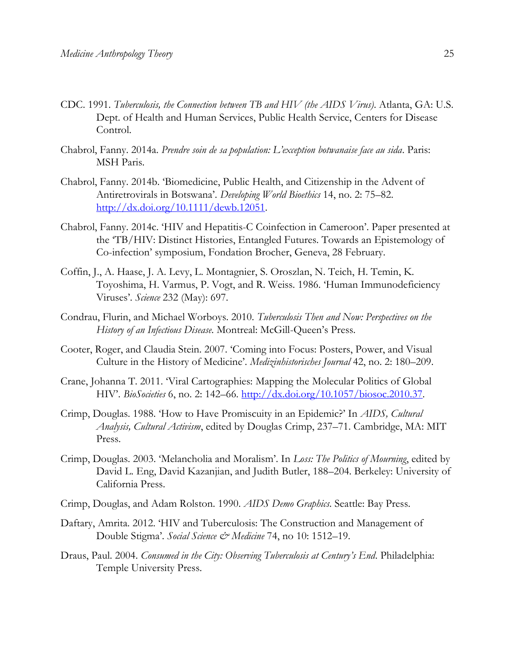- CDC. 1991. *Tuberculosis, the Connection between TB and HIV (the AIDS Virus)*. Atlanta, GA: U.S. Dept. of Health and Human Services, Public Health Service, Centers for Disease Control.
- Chabrol, Fanny. 2014a. *Prendre soin de sa population: L'exception botwanaise face au sida*. Paris: MSH Paris.
- Chabrol, Fanny. 2014b. 'Biomedicine, Public Health, and Citizenship in the Advent of Antiretrovirals in Botswana'. *Developing World Bioethics* 14, no. 2: 75–82. [http://dx.doi.org/10.1111/dewb.12051.](http://dx.doi.org/10.1111/dewb.12051)
- Chabrol, Fanny. 2014c. 'HIV and Hepatitis-C Coinfection in Cameroon'. Paper presented at the 'TB/HIV: Distinct Histories, Entangled Futures. Towards an Epistemology of Co-infection' symposium, Fondation Brocher, Geneva, 28 February.
- Coffin, J., A. Haase, J. A. Levy, L. Montagnier, S. Oroszlan, N. Teich, H. Temin, K. Toyoshima, H. Varmus, P. Vogt, and R. Weiss. 1986. 'Human Immunodeficiency Viruses'. *Science* 232 (May): 697.
- Condrau, Flurin, and Michael Worboys. 2010. *Tuberculosis Then and Now: Perspectives on the History of an Infectious Disease*. Montreal: McGill-Queen's Press.
- Cooter, Roger, and Claudia Stein. 2007. 'Coming into Focus: Posters, Power, and Visual Culture in the History of Medicine'. *Medizinhistorisches Journal* 42, no. 2: 180–209.
- Crane, Johanna T. 2011. 'Viral Cartographies: Mapping the Molecular Politics of Global HIV'. *BioSocieties* 6, no. 2: 142–66. [http://dx.doi.org/10.1057/biosoc.2010.37.](http://dx.doi.org/10.1057/biosoc.2010.37)
- Crimp, Douglas. 1988. 'How to Have Promiscuity in an Epidemic?' In *AIDS, Cultural Analysis, Cultural Activism*, edited by Douglas Crimp, 237–71. Cambridge, MA: MIT Press.
- Crimp, Douglas. 2003. 'Melancholia and Moralism'. In *Loss: The Politics of Mourning*, edited by David L. Eng, David Kazanjian, and Judith Butler, 188–204. Berkeley: University of California Press.
- Crimp, Douglas, and Adam Rolston. 1990*. AIDS Demo Graphics*. Seattle: Bay Press.
- Daftary, Amrita. 2012. 'HIV and Tuberculosis: The Construction and Management of Double Stigma'. *Social Science & Medicine* 74, no 10: 1512–19.
- Draus, Paul. 2004. *Consumed in the City: Observing Tuberculosis at Century's End*. Philadelphia: Temple University Press.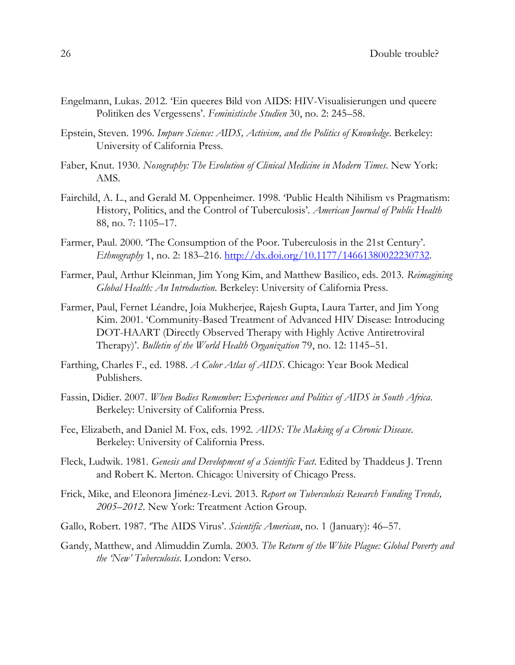- Engelmann, Lukas. 2012. 'Ein queeres Bild von AIDS: HIV-Visualisierungen und queere Politiken des Vergessens'. *Feministische Studien* 30, no. 2: 245–58.
- Epstein, Steven. 1996. *Impure Science: AIDS, Activism, and the Politics of Knowledge*. Berkeley: University of California Press.
- Faber, Knut. 1930. *Nosography: The Evolution of Clinical Medicine in Modern Times*. New York: AMS.
- Fairchild, A. L., and Gerald M. Oppenheimer. 1998. 'Public Health Nihilism vs Pragmatism: History, Politics, and the Control of Tuberculosis'. *American Journal of Public Health*  88, no. 7: 1105–17.
- Farmer, Paul. 2000. 'The Consumption of the Poor. Tuberculosis in the 21st Century'. *Ethnography* 1, no. 2: 183–216. [http://dx.doi.org/10.1177/14661380022230732.](http://dx.doi.org/10.1177/14661380022230732)
- Farmer, Paul, Arthur Kleinman, Jim Yong Kim, and Matthew Basilico, eds. 2013. *Reimagining Global Health: An Introduction*. Berkeley: University of California Press.
- Farmer, Paul, Fernet Léandre, Joia Mukherjee, Rajesh Gupta, Laura Tarter, and Jim Yong Kim. 2001. 'Community-Based Treatment of Advanced HIV Disease: Introducing DOT-HAART (Directly Observed Therapy with Highly Active Antiretroviral Therapy)'. *Bulletin of the World Health Organization* 79, no. 12: 1145–51.
- Farthing, Charles F., ed. 1988. *A Color Atlas of AIDS*. Chicago: Year Book Medical Publishers.
- Fassin, Didier. 2007. *When Bodies Remember: Experiences and Politics of AIDS in South Africa*. Berkeley: University of California Press.
- Fee, Elizabeth, and Daniel M. Fox, eds. 1992. *AIDS: The Making of a Chronic Disease*. Berkeley: University of California Press.
- Fleck, Ludwik. 1981. *Genesis and Development of a Scientific Fact*. Edited by Thaddeus J. Trenn and Robert K. Merton. Chicago: University of Chicago Press.
- Frick, Mike, and Eleonora Jiménez-Levi. 2013. *Report on Tuberculosis Research Funding Trends, 2005–2012*. New York: Treatment Action Group.
- Gallo, Robert. 1987. 'The AIDS Virus'. *Scientific American*, no. 1 (January): 46–57.
- Gandy, Matthew, and Alimuddin Zumla. 2003. *The Return of the White Plague: Global Poverty and the 'New' Tuberculosis*. London: Verso.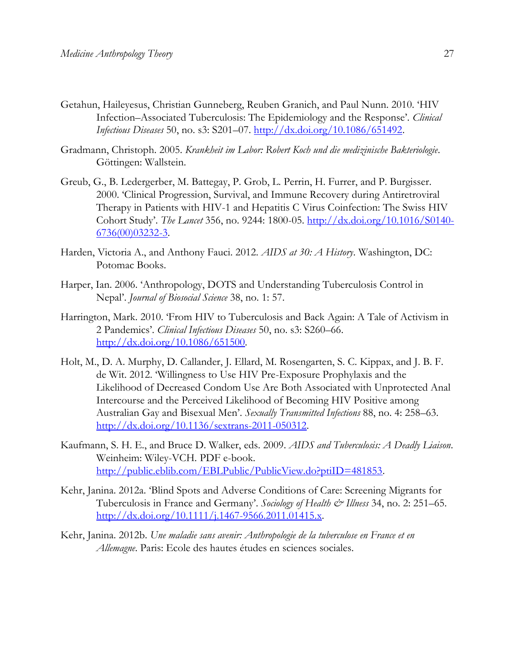- Getahun, Haileyesus, Christian Gunneberg, Reuben Granich, and Paul Nunn. 2010. 'HIV Infection–Associated Tuberculosis: The Epidemiology and the Response'. *Clinical Infectious Diseases* 50, no. s3: S201–07. [http://dx.doi.org/10.1086/651492.](http://dx.doi.org/10.1086/651492)
- Gradmann, Christoph. 2005. *Krankheit im Labor: Robert Koch und die medizinische Bakteriologie*. Göttingen: Wallstein.
- Greub, G., B. Ledergerber, M. Battegay, P. Grob, L. Perrin, H. Furrer, and P. Burgisser. 2000. 'Clinical Progression, Survival, and Immune Recovery during Antiretroviral Therapy in Patients with HIV-1 and Hepatitis C Virus Coinfection: The Swiss HIV Cohort Study'. *The Lancet* 356, no. 9244: 1800-05. [http://dx.doi.org/10.1016/S0140-](http://dx.doi.org/10.1016/S0140-6736(00)03232-3) [6736\(00\)03232-3.](http://dx.doi.org/10.1016/S0140-6736(00)03232-3)
- Harden, Victoria A., and Anthony Fauci. 2012. *AIDS at 30: A History*. Washington, DC: Potomac Books.
- Harper, Ian. 2006. 'Anthropology, DOTS and Understanding Tuberculosis Control in Nepal'. *Journal of Biosocial Science* 38, no. 1: 57.
- Harrington, Mark. 2010. 'From HIV to Tuberculosis and Back Again: A Tale of Activism in 2 Pandemics'. *Clinical Infectious Diseases* 50, no. s3: S260–66. [http://dx.doi.org/10.1086/651500.](http://dx.doi.org/10.1086/651500)
- Holt, M., D. A. Murphy, D. Callander, J. Ellard, M. Rosengarten, S. C. Kippax, and J. B. F. de Wit. 2012. 'Willingness to Use HIV Pre-Exposure Prophylaxis and the Likelihood of Decreased Condom Use Are Both Associated with Unprotected Anal Intercourse and the Perceived Likelihood of Becoming HIV Positive among Australian Gay and Bisexual Men'. *Sexually Transmitted Infections* 88, no. 4: 258–63. [http://dx.doi.org/10.1136/sextrans-2011-050312.](http://dx.doi.org/10.1136/sextrans-2011-050312)
- Kaufmann, S. H. E., and Bruce D. Walker, eds. 2009. *AIDS and Tuberculosis: A Deadly Liaison*. Weinheim: Wiley-VCH. PDF e-book. [http://public.eblib.com/EBLPublic/PublicView.do?ptiID=481853.](http://public.eblib.com/EBLPublic/PublicView.do?ptiID=481853)
- Kehr, Janina. 2012a. 'Blind Spots and Adverse Conditions of Care: Screening Migrants for Tuberculosis in France and Germany'. *Sociology of Health & Illness* 34, no. 2: 251–65. [http://dx.doi.org/10.1111/j.1467-9566.2011.01415.x.](http://dx.doi.org/10.1111/j.1467-9566.2011.01415.x)
- Kehr, Janina. 2012b. *Une maladie sans avenir: Anthropologie de la tuberculose en France et en Allemagne*. Paris: Ecole des hautes études en sciences sociales.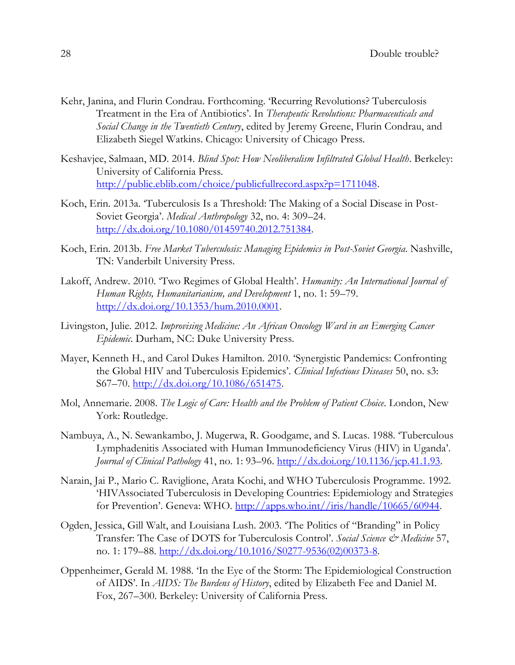- Kehr, Janina, and Flurin Condrau. Forthcoming. 'Recurring Revolutions? Tuberculosis Treatment in the Era of Antibiotics'. In *Therapeutic Revolutions: Pharmaceuticals and Social Change in the Twentieth Century*, edited by Jeremy Greene, Flurin Condrau, and Elizabeth Siegel Watkins. Chicago: University of Chicago Press.
- Keshavjee, Salmaan, MD. 2014. *Blind Spot: How Neoliberalism Infiltrated Global Health*. Berkeley: University of California Press. [http://public.eblib.com/choice/publicfullrecord.aspx?p=1711048.](http://public.eblib.com/choice/publicfullrecord.aspx?p=1711048)
- Koch, Erin. 2013a. 'Tuberculosis Is a Threshold: The Making of a Social Disease in Post-Soviet Georgia'. *Medical Anthropology* 32, no. 4: 309–24. [http://dx.doi.org/10.1080/01459740.2012.751384.](http://dx.doi.org/10.1080/01459740.2012.751384)
- Koch, Erin. 2013b. *Free Market Tuberculosis: Managing Epidemics in Post-Soviet Georgia*. Nashville, TN: Vanderbilt University Press.
- Lakoff, Andrew. 2010. 'Two Regimes of Global Health'. *Humanity: An International Journal of Human Rights, Humanitarianism, and Development* 1, no. 1: 59–79. [http://dx.doi.org/10.1353/hum.2010.0001.](http://dx.doi.org/10.1353/hum.2010.0001)
- Livingston, Julie. 2012. *Improvising Medicine: An African Oncology Ward in an Emerging Cancer Epidemic*. Durham, NC: Duke University Press.
- Mayer, Kenneth H., and Carol Dukes Hamilton. 2010. 'Synergistic Pandemics: Confronting the Global HIV and Tuberculosis Epidemics'. *Clinical Infectious Diseases* 50, no. s3: S67–70. [http://dx.doi.org/10.1086/651475.](http://dx.doi.org/10.1086/651475)
- Mol, Annemarie. 2008. *The Logic of Care: Health and the Problem of Patient Choice*. London, New York: Routledge.
- Nambuya, A., N. Sewankambo, J. Mugerwa, R. Goodgame, and S. Lucas. 1988. 'Tuberculous Lymphadenitis Associated with Human Immunodeficiency Virus (HIV) in Uganda'. *Journal of Clinical Pathology* 41, no. 1: 93–96. [http://dx.doi.org/10.1136/jcp.41.1.93.](http://dx.doi.org/10.1136/jcp.41.1.93)
- Narain, Jai P., Mario C. Raviglione, Arata Kochi, and WHO Tuberculosis Programme. 1992. 'HIVAssociated Tuberculosis in Developing Countries: Epidemiology and Strategies for Prevention'. Geneva: WHO. [http://apps.who.int//iris/handle/10665/60944.](http://apps.who.int/iris/handle/10665/60944)
- Ogden, Jessica, Gill Walt, and Louisiana Lush. 2003. 'The Politics of "Branding" in Policy Transfer: The Case of DOTS for Tuberculosis Control'. *Social Science & Medicine* 57, no. 1: 179–88. [http://dx.doi.org/10.1016/S0277-9536\(02\)00373-8.](http://dx.doi.org/10.1016/S0277-9536(02)00373-8)
- Oppenheimer, Gerald M. 1988. 'In the Eye of the Storm: The Epidemiological Construction of AIDS'. In *AIDS: The Burdens of History*, edited by Elizabeth Fee and Daniel M. Fox, 267–300. Berkeley: University of California Press.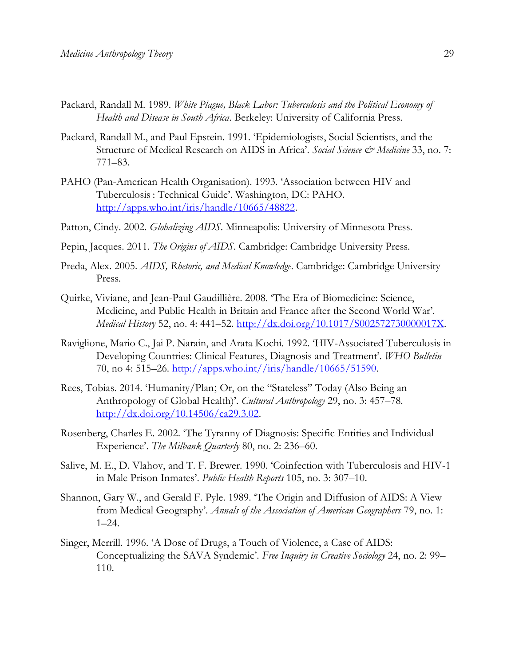- Packard, Randall M. 1989. *White Plague, Black Labor: Tuberculosis and the Political Economy of Health and Disease in South Africa*. Berkeley: University of California Press.
- Packard, Randall M., and Paul Epstein. 1991. 'Epidemiologists, Social Scientists, and the Structure of Medical Research on AIDS in Africa'. *Social Science & Medicine* 33, no. 7: 771–83.
- PAHO (Pan-American Health Organisation). 1993. 'Association between HIV and Tuberculosis : Technical Guide'. Washington, DC: PAHO. [http://apps.who.int/iris/handle/10665/48822.](http://apps.who.int/iris/handle/10665/48822)
- Patton, Cindy. 2002. *Globalizing AIDS*. Minneapolis: University of Minnesota Press.
- Pepin, Jacques. 2011. *The Origins of AIDS*. Cambridge: Cambridge University Press.
- Preda, Alex. 2005. *AIDS, Rhetoric, and Medical Knowledge*. Cambridge: Cambridge University Press.
- Quirke, Viviane, and Jean-Paul Gaudillière. 2008. 'The Era of Biomedicine: Science, Medicine, and Public Health in Britain and France after the Second World War'. *Medical History* 52, no. 4: 441–52. [http://dx.doi.org/10.1017/S002572730000017X.](http://dx.doi.org/10.1017/S002572730000017X)
- Raviglione, Mario C., Jai P. Narain, and Arata Kochi. 1992. 'HIV-Associated Tuberculosis in Developing Countries: Clinical Features, Diagnosis and Treatment'. *WHO Bulletin* 70, no 4: 515–26. [http://apps.who.int//iris/handle/10665/51590.](http://apps.who.int/iris/handle/10665/51590)
- Rees, Tobias. 2014. 'Humanity/Plan; Or, on the "Stateless" Today (Also Being an Anthropology of Global Health)'. *Cultural Anthropology* 29, no. 3: 457–78. [http://dx.doi.org/10.14506/ca29.3.02.](http://dx.doi.org/10.14506/ca29.3.02)
- Rosenberg, Charles E. 2002. 'The Tyranny of Diagnosis: Specific Entities and Individual Experience'. *The Milbank Quarterly* 80, no. 2: 236–60.
- Salive, M. E., D. Vlahov, and T. F. Brewer. 1990. 'Coinfection with Tuberculosis and HIV-1 in Male Prison Inmates'. *Public Health Reports* 105, no. 3: 307–10.
- Shannon, Gary W., and Gerald F. Pyle. 1989. 'The Origin and Diffusion of AIDS: A View from Medical Geography'. *Annals of the Association of American Geographers* 79, no. 1: 1–24.
- Singer, Merrill. 1996. 'A Dose of Drugs, a Touch of Violence, a Case of AIDS: Conceptualizing the SAVA Syndemic'. *Free Inquiry in Creative Sociology* 24, no. 2: 99– 110.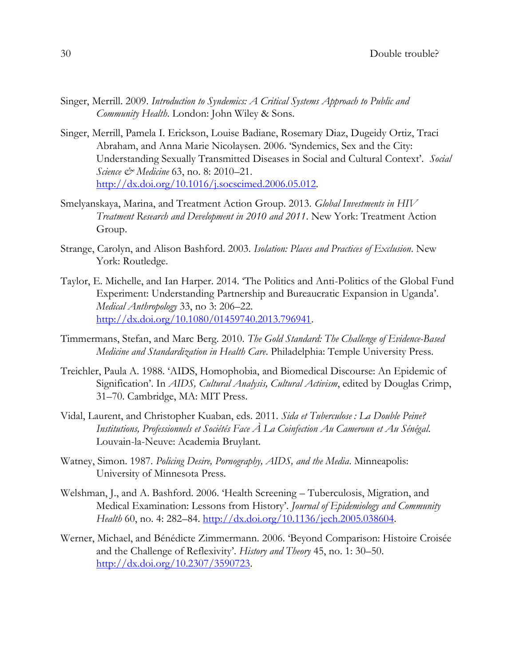- Singer, Merrill. 2009. *Introduction to Syndemics: A Critical Systems Approach to Public and Community Health*. London: John Wiley & Sons.
- Singer, Merrill, Pamela I. Erickson, Louise Badiane, Rosemary Diaz, Dugeidy Ortiz, Traci Abraham, and Anna Marie Nicolaysen. 2006. 'Syndemics, Sex and the City: Understanding Sexually Transmitted Diseases in Social and Cultural Context'. *Social Science & Medicine* 63, no. 8: 2010–21. [http://dx.doi.org/10.1016/j.socscimed.2006.05.012.](http://dx.doi.org/10.1016/j.socscimed.2006.05.012)
- Smelyanskaya, Marina, and Treatment Action Group. 2013. *Global Investments in HIV Treatment Research and Development in 2010 and 2011*. New York: Treatment Action Group.
- Strange, Carolyn, and Alison Bashford. 2003. *Isolation: Places and Practices of Exclusion*. New York: Routledge.
- Taylor, E. Michelle, and Ian Harper. 2014. 'The Politics and Anti-Politics of the Global Fund Experiment: Understanding Partnership and Bureaucratic Expansion in Uganda'. *Medical Anthropology* 33, no 3: 206–22. [http://dx.doi.org/10.1080/01459740.2013.796941.](http://dx.doi.org/10.1080/01459740.2013.796941)
- Timmermans, Stefan, and Marc Berg. 2010. *The Gold Standard: The Challenge of Evidence-Based Medicine and Standardization in Health Care*. Philadelphia: Temple University Press.
- Treichler, Paula A. 1988. 'AIDS, Homophobia, and Biomedical Discourse: An Epidemic of Signification'. In *AIDS, Cultural Analysis, Cultural Activism*, edited by Douglas Crimp, 31–70. Cambridge, MA: MIT Press.
- Vidal, Laurent, and Christopher Kuaban, eds. 2011. *Sida et Tuberculose : La Double Peine? Institutions, Professionnels et Sociétés Face À La Coinfection Au Cameroun et Au Sénégal*. Louvain-la-Neuve: Academia Bruylant.
- Watney, Simon. 1987. *Policing Desire, Pornography, AIDS, and the Media*. Minneapolis: University of Minnesota Press.
- Welshman, J., and A. Bashford. 2006. 'Health Screening Tuberculosis, Migration, and Medical Examination: Lessons from History'. *Journal of Epidemiology and Community Health* 60, no. 4: 282–84. [http://dx.doi.org/10.1136/jech.2005.038604.](http://dx.doi.org/10.1136/jech.2005.038604)
- Werner, Michael, and Bénédicte Zimmermann. 2006. 'Beyond Comparison: Histoire Croisée and the Challenge of Reflexivity'. *History and Theory* 45, no. 1: 30–50. [http://dx.doi.org/10.2307/3590723.](http://dx.doi.org/10.2307/3590723)